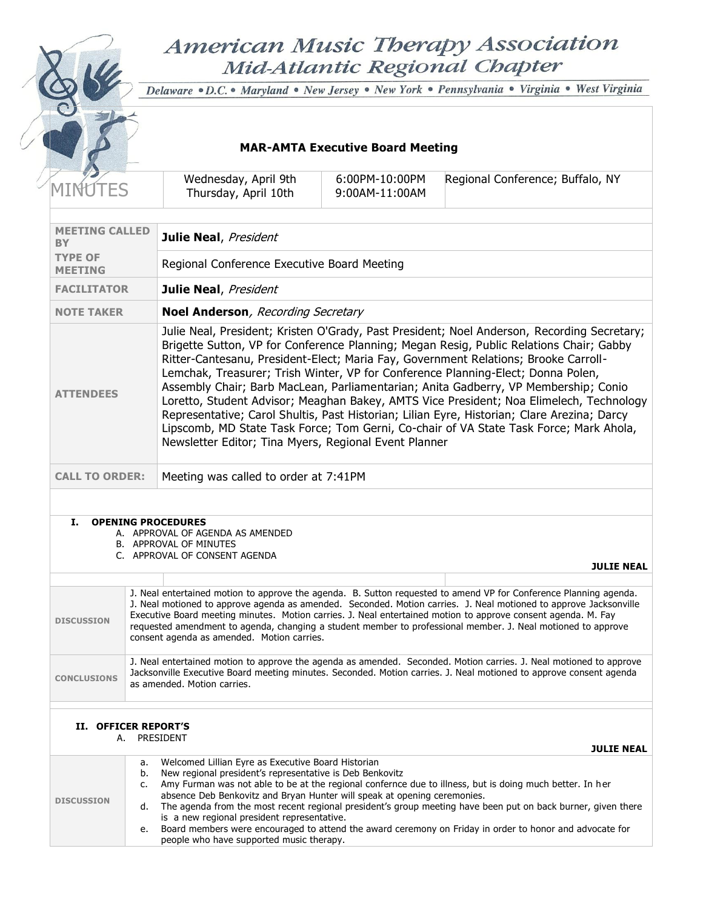# American Music Therapy Association Mid-Atlantic Regional Chapter

S

Delaware · D.C. • Maryland · New Jersey · New York · Pennsylvania · Virginia · West Virginia

## **MAR-AMTA Executive Board Meeting**

|                                             |                            | Wednesday, April 9th<br>Thursday, April 10th                                                                                                                                                                                                                                          | 6:00PM-10:00PM<br>9:00AM-11:00AM | Regional Conference; Buffalo, NY                                                                                                                                                                                                                                                                                                                                                                                                                                                                                                                                                                                                                                                                                                             |
|---------------------------------------------|----------------------------|---------------------------------------------------------------------------------------------------------------------------------------------------------------------------------------------------------------------------------------------------------------------------------------|----------------------------------|----------------------------------------------------------------------------------------------------------------------------------------------------------------------------------------------------------------------------------------------------------------------------------------------------------------------------------------------------------------------------------------------------------------------------------------------------------------------------------------------------------------------------------------------------------------------------------------------------------------------------------------------------------------------------------------------------------------------------------------------|
|                                             |                            |                                                                                                                                                                                                                                                                                       |                                  |                                                                                                                                                                                                                                                                                                                                                                                                                                                                                                                                                                                                                                                                                                                                              |
| <b>MEETING CALLED</b><br><b>BY</b>          |                            | Julie Neal, President                                                                                                                                                                                                                                                                 |                                  |                                                                                                                                                                                                                                                                                                                                                                                                                                                                                                                                                                                                                                                                                                                                              |
| TYPE OF<br><b>MEETING</b>                   |                            | Regional Conference Executive Board Meeting                                                                                                                                                                                                                                           |                                  |                                                                                                                                                                                                                                                                                                                                                                                                                                                                                                                                                                                                                                                                                                                                              |
| Julie Neal, President<br><b>FACILITATOR</b> |                            |                                                                                                                                                                                                                                                                                       |                                  |                                                                                                                                                                                                                                                                                                                                                                                                                                                                                                                                                                                                                                                                                                                                              |
| <b>NOTE TAKER</b>                           |                            | Noel Anderson, Recording Secretary                                                                                                                                                                                                                                                    |                                  |                                                                                                                                                                                                                                                                                                                                                                                                                                                                                                                                                                                                                                                                                                                                              |
| <b>ATTENDEES</b>                            |                            | Newsletter Editor; Tina Myers, Regional Event Planner                                                                                                                                                                                                                                 |                                  | Julie Neal, President; Kristen O'Grady, Past President; Noel Anderson, Recording Secretary;<br>Brigette Sutton, VP for Conference Planning; Megan Resig, Public Relations Chair; Gabby<br>Ritter-Cantesanu, President-Elect; Maria Fay, Government Relations; Brooke Carroll-<br>Lemchak, Treasurer; Trish Winter, VP for Conference Planning-Elect; Donna Polen,<br>Assembly Chair; Barb MacLean, Parliamentarian; Anita Gadberry, VP Membership; Conio<br>Loretto, Student Advisor; Meaghan Bakey, AMTS Vice President; Noa Elimelech, Technology<br>Representative; Carol Shultis, Past Historian; Lilian Eyre, Historian; Clare Arezina; Darcy<br>Lipscomb, MD State Task Force; Tom Gerni, Co-chair of VA State Task Force; Mark Ahola, |
| <b>CALL TO ORDER:</b>                       |                            | Meeting was called to order at 7:41PM                                                                                                                                                                                                                                                 |                                  |                                                                                                                                                                                                                                                                                                                                                                                                                                                                                                                                                                                                                                                                                                                                              |
|                                             |                            |                                                                                                                                                                                                                                                                                       |                                  |                                                                                                                                                                                                                                                                                                                                                                                                                                                                                                                                                                                                                                                                                                                                              |
| Ι.                                          |                            | <b>OPENING PROCEDURES</b><br>A. APPROVAL OF AGENDA AS AMENDED<br><b>B. APPROVAL OF MINUTES</b><br>C. APPROVAL OF CONSENT AGENDA                                                                                                                                                       |                                  | <b>JULIE NEAL</b>                                                                                                                                                                                                                                                                                                                                                                                                                                                                                                                                                                                                                                                                                                                            |
|                                             |                            |                                                                                                                                                                                                                                                                                       |                                  |                                                                                                                                                                                                                                                                                                                                                                                                                                                                                                                                                                                                                                                                                                                                              |
| <b>DISCUSSION</b>                           |                            | consent agenda as amended. Motion carries.                                                                                                                                                                                                                                            |                                  | J. Neal entertained motion to approve the agenda. B. Sutton requested to amend VP for Conference Planning agenda.<br>J. Neal motioned to approve agenda as amended. Seconded. Motion carries. J. Neal motioned to approve Jacksonville<br>Executive Board meeting minutes. Motion carries. J. Neal entertained motion to approve consent agenda. M. Fay<br>requested amendment to agenda, changing a student member to professional member. J. Neal motioned to approve                                                                                                                                                                                                                                                                      |
| <b>CONCLUSIONS</b>                          |                            | as amended. Motion carries.                                                                                                                                                                                                                                                           |                                  | J. Neal entertained motion to approve the agenda as amended. Seconded. Motion carries. J. Neal motioned to approve<br>Jacksonville Executive Board meeting minutes. Seconded. Motion carries. J. Neal motioned to approve consent agenda                                                                                                                                                                                                                                                                                                                                                                                                                                                                                                     |
|                                             |                            |                                                                                                                                                                                                                                                                                       |                                  |                                                                                                                                                                                                                                                                                                                                                                                                                                                                                                                                                                                                                                                                                                                                              |
| II. OFFICER REPORT'S                        | A. PRESIDENT               |                                                                                                                                                                                                                                                                                       |                                  |                                                                                                                                                                                                                                                                                                                                                                                                                                                                                                                                                                                                                                                                                                                                              |
| <b>DISCUSSION</b>                           | a.<br>b.<br>c.<br>d.<br>e. | Welcomed Lillian Eyre as Executive Board Historian<br>New regional president's representative is Deb Benkovitz<br>absence Deb Benkovitz and Bryan Hunter will speak at opening ceremonies.<br>is a new regional president representative.<br>people who have supported music therapy. |                                  | <b>JULIE NEAL</b><br>Amy Furman was not able to be at the regional confernce due to illness, but is doing much better. In her<br>The agenda from the most recent regional president's group meeting have been put on back burner, given there<br>Board members were encouraged to attend the award ceremony on Friday in order to honor and advocate for                                                                                                                                                                                                                                                                                                                                                                                     |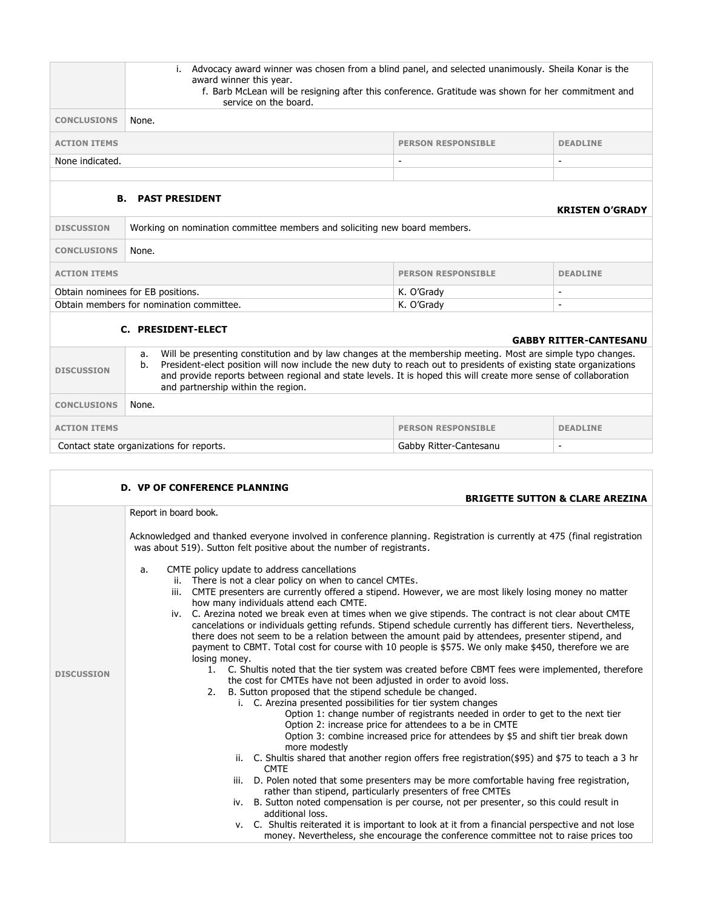|                     | Advocacy award winner was chosen from a blind panel, and selected unanimously. Sheila Konar is the<br>i.<br>award winner this year.<br>f. Barb McLean will be resigning after this conference. Gratitude was shown for her commitment and<br>service on the board.                                                                                                                                                                                                                                                                                                                                                                                                                                                                                                                                                                                                                                                          |                           |                                            |
|---------------------|-----------------------------------------------------------------------------------------------------------------------------------------------------------------------------------------------------------------------------------------------------------------------------------------------------------------------------------------------------------------------------------------------------------------------------------------------------------------------------------------------------------------------------------------------------------------------------------------------------------------------------------------------------------------------------------------------------------------------------------------------------------------------------------------------------------------------------------------------------------------------------------------------------------------------------|---------------------------|--------------------------------------------|
| <b>CONCLUSIONS</b>  | None.                                                                                                                                                                                                                                                                                                                                                                                                                                                                                                                                                                                                                                                                                                                                                                                                                                                                                                                       |                           |                                            |
| <b>ACTION ITEMS</b> |                                                                                                                                                                                                                                                                                                                                                                                                                                                                                                                                                                                                                                                                                                                                                                                                                                                                                                                             | <b>PERSON RESPONSIBLE</b> | <b>DEADLINE</b>                            |
| None indicated.     |                                                                                                                                                                                                                                                                                                                                                                                                                                                                                                                                                                                                                                                                                                                                                                                                                                                                                                                             |                           |                                            |
|                     | <b>B. PAST PRESIDENT</b>                                                                                                                                                                                                                                                                                                                                                                                                                                                                                                                                                                                                                                                                                                                                                                                                                                                                                                    |                           | <b>KRISTEN O'GRADY</b>                     |
| <b>DISCUSSION</b>   | Working on nomination committee members and soliciting new board members.                                                                                                                                                                                                                                                                                                                                                                                                                                                                                                                                                                                                                                                                                                                                                                                                                                                   |                           |                                            |
| <b>CONCLUSIONS</b>  | None.                                                                                                                                                                                                                                                                                                                                                                                                                                                                                                                                                                                                                                                                                                                                                                                                                                                                                                                       |                           |                                            |
| <b>ACTION ITEMS</b> |                                                                                                                                                                                                                                                                                                                                                                                                                                                                                                                                                                                                                                                                                                                                                                                                                                                                                                                             | <b>PERSON RESPONSIBLE</b> | <b>DEADLINE</b>                            |
|                     | Obtain nominees for EB positions.                                                                                                                                                                                                                                                                                                                                                                                                                                                                                                                                                                                                                                                                                                                                                                                                                                                                                           | K. O'Grady                |                                            |
|                     | Obtain members for nomination committee.                                                                                                                                                                                                                                                                                                                                                                                                                                                                                                                                                                                                                                                                                                                                                                                                                                                                                    | K. O'Grady                |                                            |
|                     | <b>C. PRESIDENT-ELECT</b>                                                                                                                                                                                                                                                                                                                                                                                                                                                                                                                                                                                                                                                                                                                                                                                                                                                                                                   |                           | <b>GABBY RITTER-CANTESANU</b>              |
| <b>DISCUSSION</b>   | Will be presenting constitution and by law changes at the membership meeting. Most are simple typo changes.<br>a.<br>President-elect position will now include the new duty to reach out to presidents of existing state organizations<br>b.<br>and provide reports between regional and state levels. It is hoped this will create more sense of collaboration<br>and partnership within the region.                                                                                                                                                                                                                                                                                                                                                                                                                                                                                                                       |                           |                                            |
| <b>CONCLUSIONS</b>  | None.                                                                                                                                                                                                                                                                                                                                                                                                                                                                                                                                                                                                                                                                                                                                                                                                                                                                                                                       |                           |                                            |
| <b>ACTION ITEMS</b> | <b>PERSON RESPONSIBLE</b><br><b>DEADLINE</b>                                                                                                                                                                                                                                                                                                                                                                                                                                                                                                                                                                                                                                                                                                                                                                                                                                                                                |                           |                                            |
|                     | Contact state organizations for reports.<br>Gabby Ritter-Cantesanu                                                                                                                                                                                                                                                                                                                                                                                                                                                                                                                                                                                                                                                                                                                                                                                                                                                          |                           |                                            |
|                     |                                                                                                                                                                                                                                                                                                                                                                                                                                                                                                                                                                                                                                                                                                                                                                                                                                                                                                                             |                           |                                            |
|                     | <b>D. VP OF CONFERENCE PLANNING</b>                                                                                                                                                                                                                                                                                                                                                                                                                                                                                                                                                                                                                                                                                                                                                                                                                                                                                         |                           | <b>BRIGETTE SUTTON &amp; CLARE AREZINA</b> |
|                     | Report in board book.                                                                                                                                                                                                                                                                                                                                                                                                                                                                                                                                                                                                                                                                                                                                                                                                                                                                                                       |                           |                                            |
|                     | Acknowledged and thanked everyone involved in conference planning. Registration is currently at 475 (final registration<br>was about 519). Sutton felt positive about the number of registrants.<br>a. CMTE policy update to address cancellations<br>ii. There is not a clear policy on when to cancel CMTEs.<br>iii. CMTE presenters are currently offered a stipend. However, we are most likely losing money no matter<br>how many individuals attend each CMTE.<br>iv. C. Arezina noted we break even at times when we give stipends. The contract is not clear about CMTE<br>cancelations or individuals getting refunds. Stipend schedule currently has different tiers. Nevertheless,<br>there does not seem to be a relation between the amount paid by attendees, presenter stipend, and<br>payment to CBMT. Total cost for course with 10 people is \$575. We only make \$450, therefore we are<br>losing money. |                           |                                            |
| <b>DISCUSSION</b>   | C. Shultis noted that the tier system was created before CBMT fees were implemented, therefore<br>1.<br>the cost for CMTEs have not been adjusted in order to avoid loss.<br>B. Sutton proposed that the stipend schedule be changed.<br>2.<br>i. C. Arezina presented possibilities for tier system changes<br>Option 1: change number of registrants needed in order to get to the next tier<br>Option 2: increase price for attendees to a be in CMTE<br>Option 3: combine increased price for attendees by \$5 and shift tier break down<br>more modestly<br>ii. C. Shultis shared that another region offers free registration (\$95) and \$75 to teach a 3 hr<br><b>CMTE</b>                                                                                                                                                                                                                                          |                           |                                            |

iii. D. Polen noted that some presenters may be more comfortable having free registration, rather than stipend, particularly presenters of free CMTEs

### iv. B. Sutton noted compensation is per course, not per presenter, so this could result in additional loss.

v. C. Shultis reiterated it is important to look at it from a financial perspective and not lose money. Nevertheless, she encourage the conference committee not to raise prices too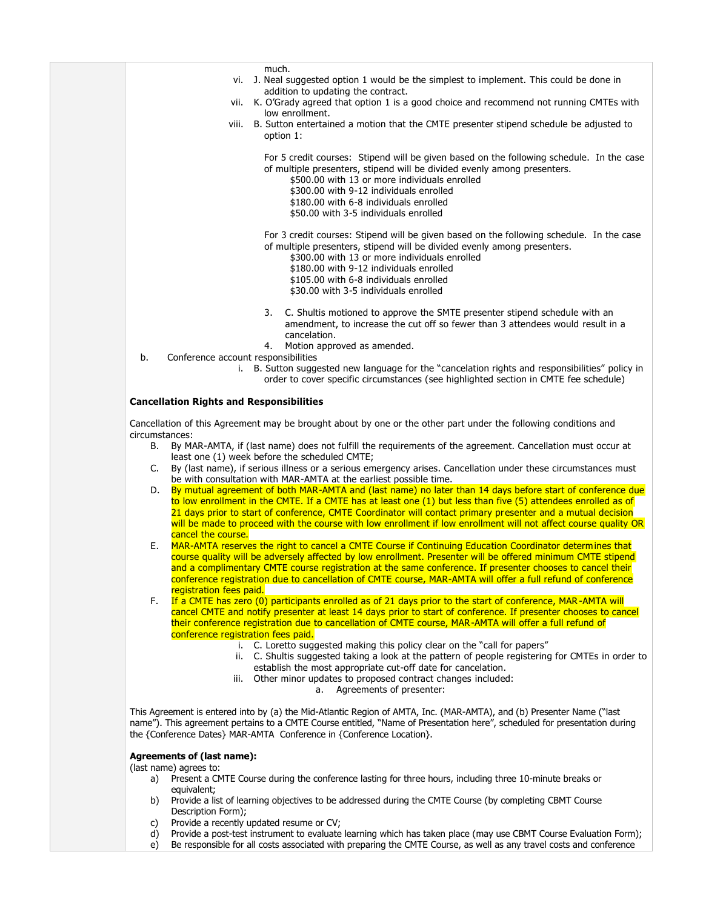much.

- vi. J. Neal suggested option 1 would be the simplest to implement. This could be done in addition to updating the contract.
- vii. K. O'Grady agreed that option 1 is a good choice and recommend not running CMTEs with low enrollment.
- viii. B. Sutton entertained a motion that the CMTE presenter stipend schedule be adjusted to option 1:

For 5 credit courses: Stipend will be given based on the following schedule. In the case of multiple presenters, stipend will be divided evenly among presenters.

- \$500.00 with 13 or more individuals enrolled
- \$300.00 with 9-12 individuals enrolled
- \$180.00 with 6-8 individuals enrolled
- \$50.00 with 3-5 individuals enrolled

### For 3 credit courses: Stipend will be given based on the following schedule. In the case of multiple presenters, stipend will be divided evenly among presenters.

- \$300.00 with 13 or more individuals enrolled
- \$180.00 with 9-12 individuals enrolled
- \$105.00 with 6-8 individuals enrolled
- \$30.00 with 3-5 individuals enrolled
- 3. C. Shultis motioned to approve the SMTE presenter stipend schedule with an amendment, to increase the cut off so fewer than 3 attendees would result in a cancelation.
- 4. Motion approved as amended.
- b. Conference account responsibilities
	- i. B. Sutton suggested new language for the "cancelation rights and responsibilities" policy in order to cover specific circumstances (see highlighted section in CMTE fee schedule)

### **Cancellation Rights and Responsibilities**

Cancellation of this Agreement may be brought about by one or the other part under the following conditions and circumstances:

- B. By MAR-AMTA, if (last name) does not fulfill the requirements of the agreement. Cancellation must occur at least one (1) week before the scheduled CMTE;
- C. By (last name), if serious illness or a serious emergency arises. Cancellation under these circumstances must be with consultation with MAR-AMTA at the earliest possible time.
- D. By mutual agreement of both MAR-AMTA and (last name) no later than 14 days before start of conference due to low enrollment in the CMTE. If a CMTE has at least one (1) but less than five (5) attendees enrolled as of 21 days prior to start of conference, CMTE Coordinator will contact primary presenter and a mutual decision will be made to proceed with the course with low enrollment if low enrollment will not affect course quality OR cancel the course.
- E. MAR-AMTA reserves the right to cancel a CMTE Course if Continuing Education Coordinator determines that course quality will be adversely affected by low enrollment. Presenter will be offered minimum CMTE stipend and a complimentary CMTE course registration at the same conference. If presenter chooses to cancel their conference registration due to cancellation of CMTE course, MAR-AMTA will offer a full refund of conference registration fees paid.
- F. If a CMTE has zero (0) participants enrolled as of 21 days prior to the start of conference, MAR-AMTA will cancel CMTE and notify presenter at least 14 days prior to start of conference. If presenter chooses to cancel their conference registration due to cancellation of CMTE course, MAR-AMTA will offer a full refund of conference registration fees paid.
	- i. C. Loretto suggested making this policy clear on the "call for papers"
	- ii. C. Shultis suggested taking a look at the pattern of people registering for CMTEs in order to establish the most appropriate cut-off date for cancelation.
	- iii. Other minor updates to proposed contract changes included:
		- a. Agreements of presenter:

This Agreement is entered into by (a) the Mid-Atlantic Region of AMTA, Inc. (MAR-AMTA), and (b) Presenter Name ("last name"). This agreement pertains to a CMTE Course entitled, "Name of Presentation here", scheduled for presentation during the {Conference Dates} MAR-AMTA Conference in {Conference Location}.

### **Agreements of (last name):**

(last name) agrees to:

- a) Present a CMTE Course during the conference lasting for three hours, including three 10-minute breaks or equivalent;
- b) Provide a list of learning objectives to be addressed during the CMTE Course (by completing CBMT Course Description Form);
- c) Provide a recently updated resume or CV;
- d) Provide a post-test instrument to evaluate learning which has taken place (may use CBMT Course Evaluation Form);
- e) Be responsible for all costs associated with preparing the CMTE Course, as well as any travel costs and conference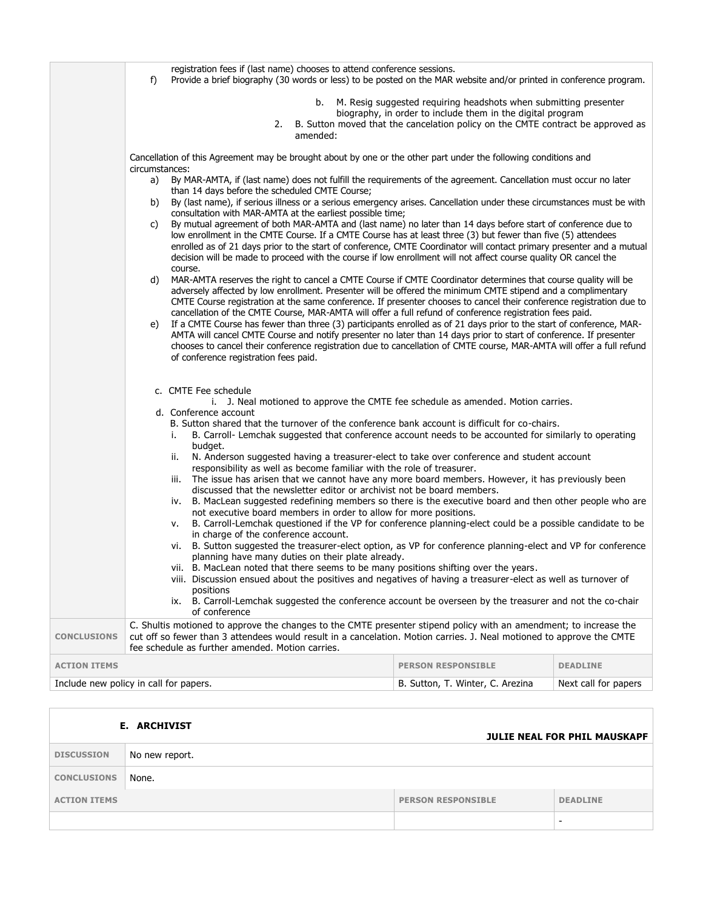|                     | registration fees if (last name) chooses to attend conference sessions.<br>Provide a brief biography (30 words or less) to be posted on the MAR website and/or printed in conference program.<br>f)                                                                                                                                                                                                                                                                                                                                                                                                                                                                                                                                                                                                                                                                                                                                                                                                                                                                                                                                                                                                                                                                                                                                                                                                                                                                                                                                                                                                                                                                                                                                                                                                                                                             |                                                                                                                                                                                                                   |                      |  |
|---------------------|-----------------------------------------------------------------------------------------------------------------------------------------------------------------------------------------------------------------------------------------------------------------------------------------------------------------------------------------------------------------------------------------------------------------------------------------------------------------------------------------------------------------------------------------------------------------------------------------------------------------------------------------------------------------------------------------------------------------------------------------------------------------------------------------------------------------------------------------------------------------------------------------------------------------------------------------------------------------------------------------------------------------------------------------------------------------------------------------------------------------------------------------------------------------------------------------------------------------------------------------------------------------------------------------------------------------------------------------------------------------------------------------------------------------------------------------------------------------------------------------------------------------------------------------------------------------------------------------------------------------------------------------------------------------------------------------------------------------------------------------------------------------------------------------------------------------------------------------------------------------|-------------------------------------------------------------------------------------------------------------------------------------------------------------------------------------------------------------------|----------------------|--|
|                     | b.<br>2.<br>amended:                                                                                                                                                                                                                                                                                                                                                                                                                                                                                                                                                                                                                                                                                                                                                                                                                                                                                                                                                                                                                                                                                                                                                                                                                                                                                                                                                                                                                                                                                                                                                                                                                                                                                                                                                                                                                                            | M. Resig suggested requiring headshots when submitting presenter<br>biography, in order to include them in the digital program<br>B. Sutton moved that the cancelation policy on the CMTE contract be approved as |                      |  |
|                     | Cancellation of this Agreement may be brought about by one or the other part under the following conditions and<br>circumstances:<br>By MAR-AMTA, if (last name) does not fulfill the requirements of the agreement. Cancellation must occur no later<br>a)<br>than 14 days before the scheduled CMTE Course;<br>By (last name), if serious illness or a serious emergency arises. Cancellation under these circumstances must be with<br>b)<br>consultation with MAR-AMTA at the earliest possible time;<br>By mutual agreement of both MAR-AMTA and (last name) no later than 14 days before start of conference due to<br>C)<br>low enrollment in the CMTE Course. If a CMTE Course has at least three (3) but fewer than five (5) attendees<br>enrolled as of 21 days prior to the start of conference, CMTE Coordinator will contact primary presenter and a mutual<br>decision will be made to proceed with the course if low enrollment will not affect course quality OR cancel the<br>course.<br>MAR-AMTA reserves the right to cancel a CMTE Course if CMTE Coordinator determines that course quality will be<br>d)<br>adversely affected by low enrollment. Presenter will be offered the minimum CMTE stipend and a complimentary<br>CMTE Course registration at the same conference. If presenter chooses to cancel their conference registration due to<br>cancellation of the CMTE Course, MAR-AMTA will offer a full refund of conference registration fees paid.<br>If a CMTE Course has fewer than three (3) participants enrolled as of 21 days prior to the start of conference, MAR-<br>e)<br>AMTA will cancel CMTE Course and notify presenter no later than 14 days prior to start of conference. If presenter<br>chooses to cancel their conference registration due to cancellation of CMTE course, MAR-AMTA will offer a full refund |                                                                                                                                                                                                                   |                      |  |
|                     | of conference registration fees paid.<br>c. CMTE Fee schedule<br>i. J. Neal motioned to approve the CMTE fee schedule as amended. Motion carries.<br>d. Conference account<br>B. Sutton shared that the turnover of the conference bank account is difficult for co-chairs.<br>B. Carroll- Lemchak suggested that conference account needs to be accounted for similarly to operating<br>i.<br>budget.<br>N. Anderson suggested having a treasurer-elect to take over conference and student account<br>ii.<br>responsibility as well as become familiar with the role of treasurer.<br>The issue has arisen that we cannot have any more board members. However, it has previously been<br>iii.<br>discussed that the newsletter editor or archivist not be board members.<br>B. MacLean suggested redefining members so there is the executive board and then other people who are<br>iv.<br>not executive board members in order to allow for more positions.<br>B. Carroll-Lemchak questioned if the VP for conference planning-elect could be a possible candidate to be<br>٧.<br>in charge of the conference account.<br>B. Sutton suggested the treasurer-elect option, as VP for conference planning-elect and VP for conference<br>vi.<br>planning have many duties on their plate already.<br>B. MacLean noted that there seems to be many positions shifting over the years.<br>VII.<br>viii. Discussion ensued about the positives and negatives of having a treasurer-elect as well as turnover of<br>positions<br>ix. B. Carroll-Lemchak suggested the conference account be overseen by the treasurer and not the co-chair<br>of conference                                                                                                                                                                                                      |                                                                                                                                                                                                                   |                      |  |
| <b>CONCLUSIONS</b>  | C. Shultis motioned to approve the changes to the CMTE presenter stipend policy with an amendment; to increase the<br>cut off so fewer than 3 attendees would result in a cancelation. Motion carries. J. Neal motioned to approve the CMTE<br>fee schedule as further amended. Motion carries.                                                                                                                                                                                                                                                                                                                                                                                                                                                                                                                                                                                                                                                                                                                                                                                                                                                                                                                                                                                                                                                                                                                                                                                                                                                                                                                                                                                                                                                                                                                                                                 |                                                                                                                                                                                                                   |                      |  |
| <b>ACTION ITEMS</b> |                                                                                                                                                                                                                                                                                                                                                                                                                                                                                                                                                                                                                                                                                                                                                                                                                                                                                                                                                                                                                                                                                                                                                                                                                                                                                                                                                                                                                                                                                                                                                                                                                                                                                                                                                                                                                                                                 | <b>PERSON RESPONSIBLE</b>                                                                                                                                                                                         | <b>DEADLINE</b>      |  |
|                     | Include new policy in call for papers.                                                                                                                                                                                                                                                                                                                                                                                                                                                                                                                                                                                                                                                                                                                                                                                                                                                                                                                                                                                                                                                                                                                                                                                                                                                                                                                                                                                                                                                                                                                                                                                                                                                                                                                                                                                                                          | B. Sutton, T. Winter, C. Arezina                                                                                                                                                                                  | Next call for papers |  |

| <b>E. ARCHIVIST</b> |                |                           | <b>JULIE NEAL FOR PHIL MAUSKAPF</b> |
|---------------------|----------------|---------------------------|-------------------------------------|
| <b>DISCUSSION</b>   | No new report. |                           |                                     |
| <b>CONCLUSIONS</b>  | None.          |                           |                                     |
| <b>ACTION ITEMS</b> |                | <b>PERSON RESPONSIBLE</b> | <b>DEADLINE</b>                     |
|                     |                |                           | -                                   |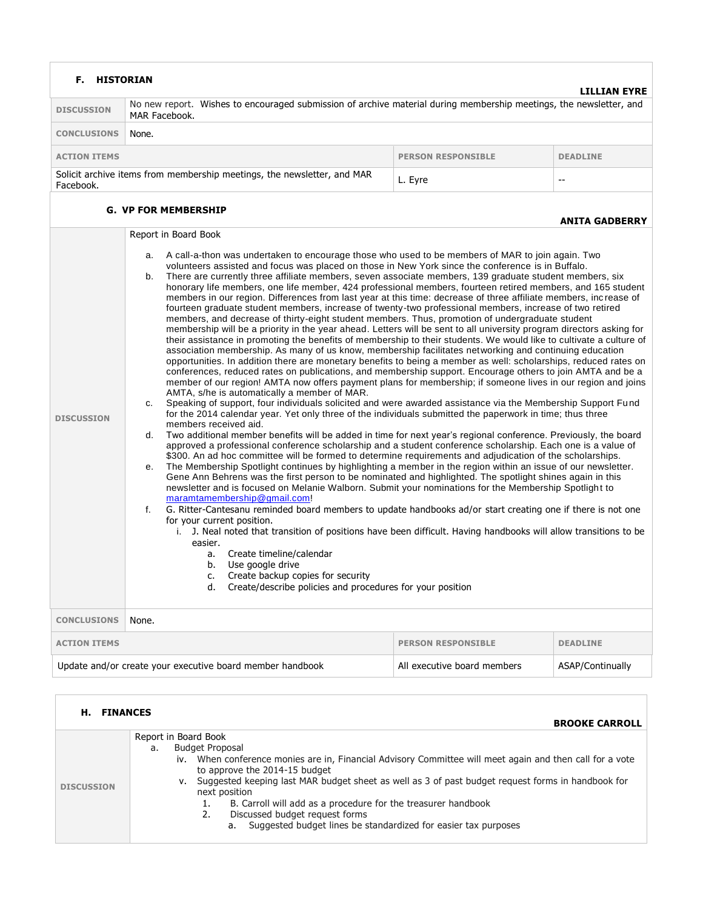| <b>HISTORIAN</b><br>F.                                                                                                                                                                                                                                                                                                                                                                                                                                                                                                                                                                                                                                                                                                                                                                                                                                                                                                                                                                                                                                                                                                                                                                                                                                                                                                                                                                                                                                                                                                                                                                                                                                                                                                                                                                                                                                                                                                                                                                                                                                                                                                                                                                                                                                                                                                                                                                                                                                                                                                                                                                                                                                                                                                                                                                                                                                                                                                                                                                                                                                                                             |                                                                                           |                             | LILLIAN EYRE     |  |
|----------------------------------------------------------------------------------------------------------------------------------------------------------------------------------------------------------------------------------------------------------------------------------------------------------------------------------------------------------------------------------------------------------------------------------------------------------------------------------------------------------------------------------------------------------------------------------------------------------------------------------------------------------------------------------------------------------------------------------------------------------------------------------------------------------------------------------------------------------------------------------------------------------------------------------------------------------------------------------------------------------------------------------------------------------------------------------------------------------------------------------------------------------------------------------------------------------------------------------------------------------------------------------------------------------------------------------------------------------------------------------------------------------------------------------------------------------------------------------------------------------------------------------------------------------------------------------------------------------------------------------------------------------------------------------------------------------------------------------------------------------------------------------------------------------------------------------------------------------------------------------------------------------------------------------------------------------------------------------------------------------------------------------------------------------------------------------------------------------------------------------------------------------------------------------------------------------------------------------------------------------------------------------------------------------------------------------------------------------------------------------------------------------------------------------------------------------------------------------------------------------------------------------------------------------------------------------------------------------------------------------------------------------------------------------------------------------------------------------------------------------------------------------------------------------------------------------------------------------------------------------------------------------------------------------------------------------------------------------------------------------------------------------------------------------------------------------------------------|-------------------------------------------------------------------------------------------|-----------------------------|------------------|--|
| No new report. Wishes to encouraged submission of archive material during membership meetings, the newsletter, and<br><b>DISCUSSION</b><br>MAR Facebook.                                                                                                                                                                                                                                                                                                                                                                                                                                                                                                                                                                                                                                                                                                                                                                                                                                                                                                                                                                                                                                                                                                                                                                                                                                                                                                                                                                                                                                                                                                                                                                                                                                                                                                                                                                                                                                                                                                                                                                                                                                                                                                                                                                                                                                                                                                                                                                                                                                                                                                                                                                                                                                                                                                                                                                                                                                                                                                                                           |                                                                                           |                             |                  |  |
| <b>CONCLUSIONS</b>                                                                                                                                                                                                                                                                                                                                                                                                                                                                                                                                                                                                                                                                                                                                                                                                                                                                                                                                                                                                                                                                                                                                                                                                                                                                                                                                                                                                                                                                                                                                                                                                                                                                                                                                                                                                                                                                                                                                                                                                                                                                                                                                                                                                                                                                                                                                                                                                                                                                                                                                                                                                                                                                                                                                                                                                                                                                                                                                                                                                                                                                                 | None.                                                                                     |                             |                  |  |
| <b>ACTION ITEMS</b>                                                                                                                                                                                                                                                                                                                                                                                                                                                                                                                                                                                                                                                                                                                                                                                                                                                                                                                                                                                                                                                                                                                                                                                                                                                                                                                                                                                                                                                                                                                                                                                                                                                                                                                                                                                                                                                                                                                                                                                                                                                                                                                                                                                                                                                                                                                                                                                                                                                                                                                                                                                                                                                                                                                                                                                                                                                                                                                                                                                                                                                                                |                                                                                           | <b>PERSON RESPONSIBLE</b>   | <b>DEADLINE</b>  |  |
| Facebook.                                                                                                                                                                                                                                                                                                                                                                                                                                                                                                                                                                                                                                                                                                                                                                                                                                                                                                                                                                                                                                                                                                                                                                                                                                                                                                                                                                                                                                                                                                                                                                                                                                                                                                                                                                                                                                                                                                                                                                                                                                                                                                                                                                                                                                                                                                                                                                                                                                                                                                                                                                                                                                                                                                                                                                                                                                                                                                                                                                                                                                                                                          | Solicit archive items from membership meetings, the newsletter, and MAR<br>L. Eyre<br>$-$ |                             |                  |  |
|                                                                                                                                                                                                                                                                                                                                                                                                                                                                                                                                                                                                                                                                                                                                                                                                                                                                                                                                                                                                                                                                                                                                                                                                                                                                                                                                                                                                                                                                                                                                                                                                                                                                                                                                                                                                                                                                                                                                                                                                                                                                                                                                                                                                                                                                                                                                                                                                                                                                                                                                                                                                                                                                                                                                                                                                                                                                                                                                                                                                                                                                                                    |                                                                                           |                             |                  |  |
| <b>G. VP FOR MEMBERSHIP</b><br><b>ANITA GADBERRY</b><br>Report in Board Book<br>A call-a-thon was undertaken to encourage those who used to be members of MAR to join again. Two<br>a.<br>volunteers assisted and focus was placed on those in New York since the conference is in Buffalo.<br>There are currently three affiliate members, seven associate members, 139 graduate student members, six<br>b.<br>honorary life members, one life member, 424 professional members, fourteen retired members, and 165 student<br>members in our region. Differences from last year at this time: decrease of three affiliate members, increase of<br>fourteen graduate student members, increase of twenty-two professional members, increase of two retired<br>members, and decrease of thirty-eight student members. Thus, promotion of undergraduate student<br>membership will be a priority in the year ahead. Letters will be sent to all university program directors asking for<br>their assistance in promoting the benefits of membership to their students. We would like to cultivate a culture of<br>association membership. As many of us know, membership facilitates networking and continuing education<br>opportunities. In addition there are monetary benefits to being a member as well: scholarships, reduced rates on<br>conferences, reduced rates on publications, and membership support. Encourage others to join AMTA and be a<br>member of our region! AMTA now offers payment plans for membership; if someone lives in our region and joins<br>AMTA, s/he is automatically a member of MAR.<br>Speaking of support, four individuals solicited and were awarded assistance via the Membership Support Fund<br>c.<br>for the 2014 calendar year. Yet only three of the individuals submitted the paperwork in time; thus three<br><b>DISCUSSION</b><br>members received aid.<br>Two additional member benefits will be added in time for next year's regional conference. Previously, the board<br>d.<br>approved a professional conference scholarship and a student conference scholarship. Each one is a value of<br>\$300. An ad hoc committee will be formed to determine requirements and adjudication of the scholarships.<br>The Membership Spotlight continues by highlighting a member in the region within an issue of our newsletter.<br>е.<br>Gene Ann Behrens was the first person to be nominated and highlighted. The spotlight shines again in this<br>newsletter and is focused on Melanie Walborn. Submit your nominations for the Membership Spotlight to<br>maramtamembership@gmail.com!<br>G. Ritter-Cantesanu reminded board members to update handbooks ad/or start creating one if there is not one<br>f.<br>for your current position.<br>i. J. Neal noted that transition of positions have been difficult. Having handbooks will allow transitions to be<br>easier.<br>Create timeline/calendar<br>а.<br>Use google drive<br>b.<br>Create backup copies for security<br>c.<br>d. Create/describe policies and procedures for your position |                                                                                           |                             |                  |  |
| <b>CONCLUSIONS</b>                                                                                                                                                                                                                                                                                                                                                                                                                                                                                                                                                                                                                                                                                                                                                                                                                                                                                                                                                                                                                                                                                                                                                                                                                                                                                                                                                                                                                                                                                                                                                                                                                                                                                                                                                                                                                                                                                                                                                                                                                                                                                                                                                                                                                                                                                                                                                                                                                                                                                                                                                                                                                                                                                                                                                                                                                                                                                                                                                                                                                                                                                 | None.                                                                                     |                             |                  |  |
| <b>ACTION ITEMS</b>                                                                                                                                                                                                                                                                                                                                                                                                                                                                                                                                                                                                                                                                                                                                                                                                                                                                                                                                                                                                                                                                                                                                                                                                                                                                                                                                                                                                                                                                                                                                                                                                                                                                                                                                                                                                                                                                                                                                                                                                                                                                                                                                                                                                                                                                                                                                                                                                                                                                                                                                                                                                                                                                                                                                                                                                                                                                                                                                                                                                                                                                                |                                                                                           | <b>PERSON RESPONSIBLE</b>   | <b>DEADLINE</b>  |  |
|                                                                                                                                                                                                                                                                                                                                                                                                                                                                                                                                                                                                                                                                                                                                                                                                                                                                                                                                                                                                                                                                                                                                                                                                                                                                                                                                                                                                                                                                                                                                                                                                                                                                                                                                                                                                                                                                                                                                                                                                                                                                                                                                                                                                                                                                                                                                                                                                                                                                                                                                                                                                                                                                                                                                                                                                                                                                                                                                                                                                                                                                                                    | Update and/or create your executive board member handbook                                 | All executive board members | ASAP/Continually |  |
| <b>H. FINANCES</b>                                                                                                                                                                                                                                                                                                                                                                                                                                                                                                                                                                                                                                                                                                                                                                                                                                                                                                                                                                                                                                                                                                                                                                                                                                                                                                                                                                                                                                                                                                                                                                                                                                                                                                                                                                                                                                                                                                                                                                                                                                                                                                                                                                                                                                                                                                                                                                                                                                                                                                                                                                                                                                                                                                                                                                                                                                                                                                                                                                                                                                                                                 |                                                                                           |                             |                  |  |

| <b>DISCUSSION</b> | Report in Board Book<br><b>Budget Proposal</b><br>a.<br>iv. When conference monies are in, Financial Advisory Committee will meet again and then call for a vote<br>to approve the 2014-15 budget<br>v. Suggested keeping last MAR budget sheet as well as 3 of past budget request forms in handbook for<br>next position<br>B. Carroll will add as a procedure for the treasurer handbook<br>Discussed budget request forms<br>Suggested budget lines be standardized for easier tax purposes<br>a. |
|-------------------|-------------------------------------------------------------------------------------------------------------------------------------------------------------------------------------------------------------------------------------------------------------------------------------------------------------------------------------------------------------------------------------------------------------------------------------------------------------------------------------------------------|

**BROOKE CARROLL**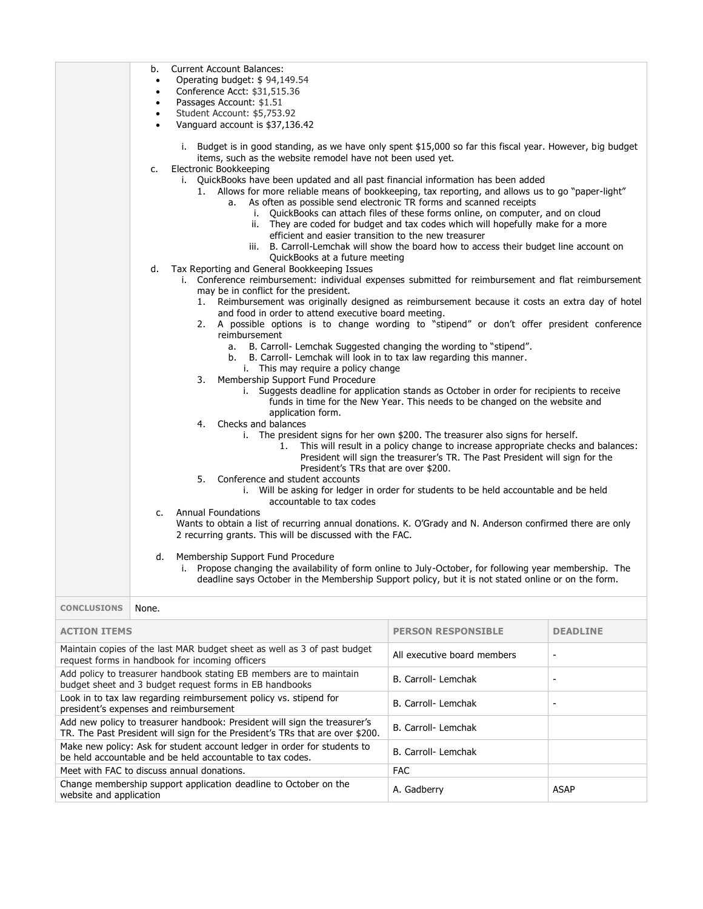|                    | b.<br><b>Current Account Balances:</b><br>Operating budget: \$94,149.54<br>$\bullet$<br>Conference Acct: \$31,515.36<br>$\bullet$<br>Passages Account: \$1.51<br>$\bullet$<br>Student Account: \$5,753.92<br>$\bullet$                                                                                                                                                                                                                                                                                                                                                                                                                                                                                                                                                                                                                                                                                               |  |
|--------------------|----------------------------------------------------------------------------------------------------------------------------------------------------------------------------------------------------------------------------------------------------------------------------------------------------------------------------------------------------------------------------------------------------------------------------------------------------------------------------------------------------------------------------------------------------------------------------------------------------------------------------------------------------------------------------------------------------------------------------------------------------------------------------------------------------------------------------------------------------------------------------------------------------------------------|--|
|                    | Vanguard account is \$37,136.42<br>i. Budget is in good standing, as we have only spent \$15,000 so far this fiscal year. However, big budget<br>items, such as the website remodel have not been used yet.                                                                                                                                                                                                                                                                                                                                                                                                                                                                                                                                                                                                                                                                                                          |  |
|                    | Electronic Bookkeeping<br>c.<br>i. QuickBooks have been updated and all past financial information has been added<br>1. Allows for more reliable means of bookkeeping, tax reporting, and allows us to go "paper-light"<br>As often as possible send electronic TR forms and scanned receipts<br>a.<br>QuickBooks can attach files of these forms online, on computer, and on cloud<br>i.<br>They are coded for budget and tax codes which will hopefully make for a more<br>ii.<br>efficient and easier transition to the new treasurer<br>B. Carroll-Lemchak will show the board how to access their budget line account on<br>iii.<br>QuickBooks at a future meeting                                                                                                                                                                                                                                              |  |
|                    | Tax Reporting and General Bookkeeping Issues<br>d.<br>i. Conference reimbursement: individual expenses submitted for reimbursement and flat reimbursement<br>may be in conflict for the president.<br>Reimbursement was originally designed as reimbursement because it costs an extra day of hotel<br>1.<br>and food in order to attend executive board meeting.<br>A possible options is to change wording to "stipend" or don't offer president conference<br>2.<br>reimbursement<br>a. B. Carroll- Lemchak Suggested changing the wording to "stipend".<br>b. B. Carroll- Lemchak will look in to tax law regarding this manner.<br>i. This may require a policy change<br>3. Membership Support Fund Procedure<br>i. Suggests deadline for application stands as October in order for recipients to receive<br>funds in time for the New Year. This needs to be changed on the website and<br>application form. |  |
|                    | 4. Checks and balances<br>i. The president signs for her own \$200. The treasurer also signs for herself.<br>This will result in a policy change to increase appropriate checks and balances:<br>1.<br>President will sign the treasurer's TR. The Past President will sign for the<br>President's TRs that are over \$200.<br>5. Conference and student accounts<br>i. Will be asking for ledger in order for students to be held accountable and be held<br>accountable to tax codes                                                                                                                                                                                                                                                                                                                                                                                                                               |  |
|                    | <b>Annual Foundations</b><br>$c_{\cdot}$<br>Wants to obtain a list of recurring annual donations. K. O'Grady and N. Anderson confirmed there are only<br>2 recurring grants. This will be discussed with the FAC.                                                                                                                                                                                                                                                                                                                                                                                                                                                                                                                                                                                                                                                                                                    |  |
|                    | $\mathsf{d}$ .<br>Membership Support Fund Procedure<br>i. Propose changing the availability of form online to July-October, for following year membership. The<br>deadline says October in the Membership Support policy, but it is not stated online or on the form.                                                                                                                                                                                                                                                                                                                                                                                                                                                                                                                                                                                                                                                |  |
| <b>CONCLUSIONS</b> | None.                                                                                                                                                                                                                                                                                                                                                                                                                                                                                                                                                                                                                                                                                                                                                                                                                                                                                                                |  |

| <b>ACTION ITEMS</b>                                                                                                                                        | <b>PERSON RESPONSIBLE</b>   | <b>DEADLINE</b> |
|------------------------------------------------------------------------------------------------------------------------------------------------------------|-----------------------------|-----------------|
| Maintain copies of the last MAR budget sheet as well as 3 of past budget<br>request forms in handbook for incoming officers                                | All executive board members |                 |
| Add policy to treasurer handbook stating EB members are to maintain<br>budget sheet and 3 budget request forms in EB handbooks                             | B. Carroll- Lemchak         |                 |
| Look in to tax law regarding reimbursement policy vs. stipend for<br>president's expenses and reimbursement                                                | B. Carroll- Lemchak         |                 |
| Add new policy to treasurer handbook: President will sign the treasurer's<br>TR. The Past President will sign for the President's TRs that are over \$200. | B. Carroll- Lemchak         |                 |
| Make new policy: Ask for student account ledger in order for students to<br>be held accountable and be held accountable to tax codes.                      | B. Carroll- Lemchak         |                 |
| Meet with FAC to discuss annual donations.                                                                                                                 | <b>FAC</b>                  |                 |
| Change membership support application deadline to October on the<br>website and application                                                                | A. Gadberry                 | ASAP            |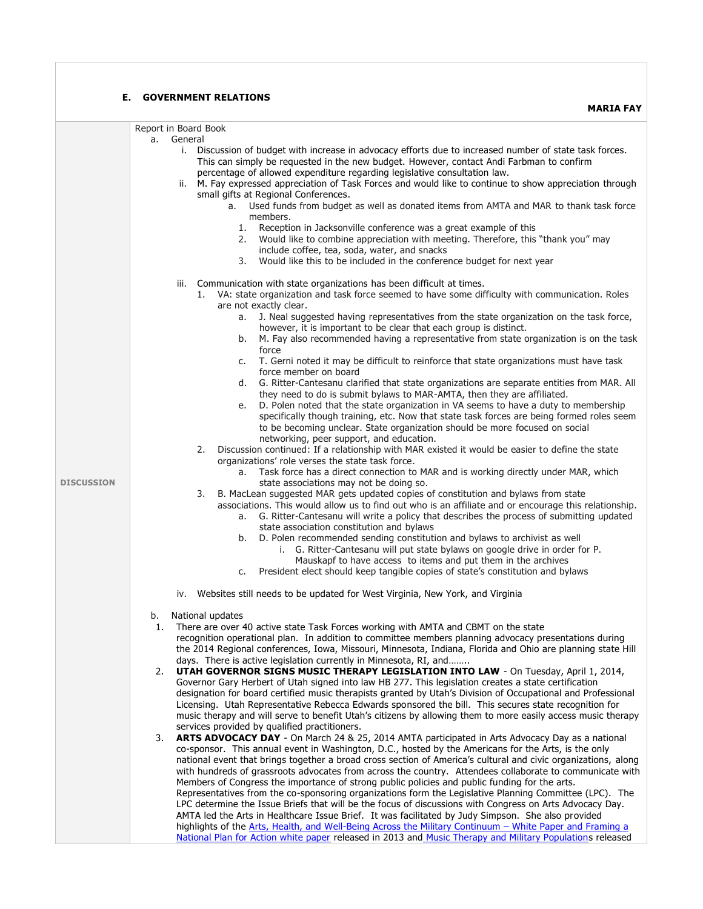|                   | <b>GOVERNMENT RELATIONS</b><br>Е.<br><b>MARIA FAY</b>                                                                                                                                                                                                                            |
|-------------------|----------------------------------------------------------------------------------------------------------------------------------------------------------------------------------------------------------------------------------------------------------------------------------|
|                   |                                                                                                                                                                                                                                                                                  |
|                   | Report in Board Book<br>General<br>a.                                                                                                                                                                                                                                            |
|                   | i. Discussion of budget with increase in advocacy efforts due to increased number of state task forces.<br>This can simply be requested in the new budget. However, contact Andi Farbman to confirm<br>percentage of allowed expenditure regarding legislative consultation law. |
|                   | ii. M. Fay expressed appreciation of Task Forces and would like to continue to show appreciation through                                                                                                                                                                         |
|                   | small gifts at Regional Conferences.<br>a. Used funds from budget as well as donated items from AMTA and MAR to thank task force                                                                                                                                                 |
|                   | members.                                                                                                                                                                                                                                                                         |
|                   | 1. Reception in Jacksonville conference was a great example of this                                                                                                                                                                                                              |
|                   | Would like to combine appreciation with meeting. Therefore, this "thank you" may<br>2.                                                                                                                                                                                           |
|                   | include coffee, tea, soda, water, and snacks                                                                                                                                                                                                                                     |
|                   | Would like this to be included in the conference budget for next year<br>3.                                                                                                                                                                                                      |
|                   | Communication with state organizations has been difficult at times.<br>iii.                                                                                                                                                                                                      |
|                   | 1. VA: state organization and task force seemed to have some difficulty with communication. Roles                                                                                                                                                                                |
|                   | are not exactly clear.                                                                                                                                                                                                                                                           |
|                   | J. Neal suggested having representatives from the state organization on the task force,<br>а.<br>however, it is important to be clear that each group is distinct.                                                                                                               |
|                   | b. M. Fay also recommended having a representative from state organization is on the task                                                                                                                                                                                        |
|                   | force                                                                                                                                                                                                                                                                            |
|                   | T. Gerni noted it may be difficult to reinforce that state organizations must have task<br>C.                                                                                                                                                                                    |
|                   | force member on board<br>G. Ritter-Cantesanu clarified that state organizations are separate entities from MAR. All<br>d.                                                                                                                                                        |
|                   | they need to do is submit bylaws to MAR-AMTA, then they are affiliated.                                                                                                                                                                                                          |
|                   | D. Polen noted that the state organization in VA seems to have a duty to membership<br>e.                                                                                                                                                                                        |
|                   | specifically though training, etc. Now that state task forces are being formed roles seem                                                                                                                                                                                        |
|                   | to be becoming unclear. State organization should be more focused on social<br>networking, peer support, and education.                                                                                                                                                          |
|                   | Discussion continued: If a relationship with MAR existed it would be easier to define the state<br>2.                                                                                                                                                                            |
|                   | organizations' role verses the state task force.                                                                                                                                                                                                                                 |
|                   | Task force has a direct connection to MAR and is working directly under MAR, which<br>a.                                                                                                                                                                                         |
| <b>DISCUSSION</b> | state associations may not be doing so.                                                                                                                                                                                                                                          |
|                   | B. MacLean suggested MAR gets updated copies of constitution and bylaws from state<br>3.<br>associations. This would allow us to find out who is an affiliate and or encourage this relationship.                                                                                |
|                   | G. Ritter-Cantesanu will write a policy that describes the process of submitting updated<br>а.                                                                                                                                                                                   |
|                   | state association constitution and bylaws                                                                                                                                                                                                                                        |
|                   | b. D. Polen recommended sending constitution and bylaws to archivist as well<br>i. G. Ritter-Cantesanu will put state bylaws on google drive in order for P.                                                                                                                     |
|                   | Mauskapf to have access to items and put them in the archives                                                                                                                                                                                                                    |
|                   | President elect should keep tangible copies of state's constitution and bylaws<br>c.                                                                                                                                                                                             |
|                   |                                                                                                                                                                                                                                                                                  |
|                   | iv. Websites still needs to be updated for West Virginia, New York, and Virginia                                                                                                                                                                                                 |
|                   | b.<br>National updates                                                                                                                                                                                                                                                           |
|                   | There are over 40 active state Task Forces working with AMTA and CBMT on the state<br>1.                                                                                                                                                                                         |
|                   | recognition operational plan. In addition to committee members planning advocacy presentations during                                                                                                                                                                            |
|                   | the 2014 Regional conferences, Iowa, Missouri, Minnesota, Indiana, Florida and Ohio are planning state Hill<br>days. There is active legislation currently in Minnesota, RI, and                                                                                                 |
|                   | UTAH GOVERNOR SIGNS MUSIC THERAPY LEGISLATION INTO LAW - On Tuesday, April 1, 2014,<br>2.                                                                                                                                                                                        |
|                   | Governor Gary Herbert of Utah signed into law HB 277. This legislation creates a state certification                                                                                                                                                                             |
|                   | designation for board certified music therapists granted by Utah's Division of Occupational and Professional                                                                                                                                                                     |
|                   | Licensing. Utah Representative Rebecca Edwards sponsored the bill. This secures state recognition for<br>music therapy and will serve to benefit Utah's citizens by allowing them to more easily access music therapy                                                            |
|                   | services provided by qualified practitioners.                                                                                                                                                                                                                                    |
|                   | 3.<br>ARTS ADVOCACY DAY - On March 24 & 25, 2014 AMTA participated in Arts Advocacy Day as a national                                                                                                                                                                            |
|                   | co-sponsor. This annual event in Washington, D.C., hosted by the Americans for the Arts, is the only                                                                                                                                                                             |
|                   | national event that brings together a broad cross section of America's cultural and civic organizations, along<br>with hundreds of grassroots advocates from across the country. Attendees collaborate to communicate with                                                       |
|                   | Members of Congress the importance of strong public policies and public funding for the arts.                                                                                                                                                                                    |
|                   | Representatives from the co-sponsoring organizations form the Legislative Planning Committee (LPC). The                                                                                                                                                                          |
|                   | LPC determine the Issue Briefs that will be the focus of discussions with Congress on Arts Advocacy Day.                                                                                                                                                                         |
|                   | AMTA led the Arts in Healthcare Issue Brief. It was facilitated by Judy Simpson. She also provided<br>highlights of the Arts, Health, and Well-Being Across the Military Continuum - White Paper and Framing a                                                                   |
|                   | National Plan for Action white paper released in 2013 and Music Therapy and Military Populations released                                                                                                                                                                        |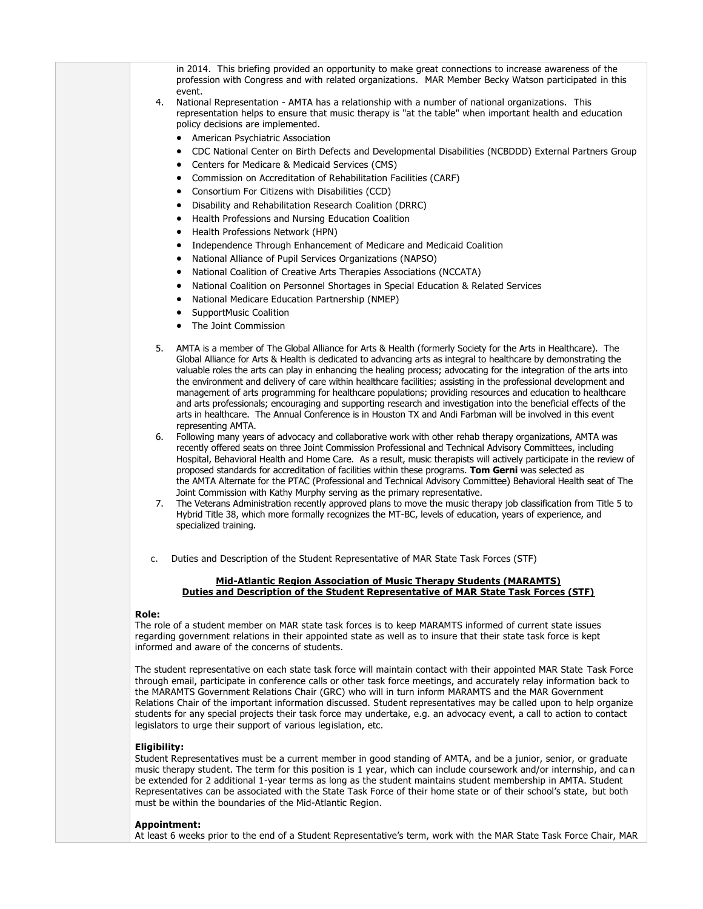| in 2014. This briefing provided an opportunity to make great connections to increase awareness of the<br>profession with Congress and with related organizations. MAR Member Becky Watson participated in this                                                                                                                                                                                                                                                                                                                                                                                                                                                                                                                                                                                                                                                                                                                                                                                                                                                                                                                                                                                                                                                                                                                                                                                                                                                                                                                                                                                                                                                                                                                                                                   |
|----------------------------------------------------------------------------------------------------------------------------------------------------------------------------------------------------------------------------------------------------------------------------------------------------------------------------------------------------------------------------------------------------------------------------------------------------------------------------------------------------------------------------------------------------------------------------------------------------------------------------------------------------------------------------------------------------------------------------------------------------------------------------------------------------------------------------------------------------------------------------------------------------------------------------------------------------------------------------------------------------------------------------------------------------------------------------------------------------------------------------------------------------------------------------------------------------------------------------------------------------------------------------------------------------------------------------------------------------------------------------------------------------------------------------------------------------------------------------------------------------------------------------------------------------------------------------------------------------------------------------------------------------------------------------------------------------------------------------------------------------------------------------------|
| event.<br>National Representation - AMTA has a relationship with a number of national organizations. This<br>4.<br>representation helps to ensure that music therapy is "at the table" when important health and education<br>policy decisions are implemented.<br>• American Psychiatric Association                                                                                                                                                                                                                                                                                                                                                                                                                                                                                                                                                                                                                                                                                                                                                                                                                                                                                                                                                                                                                                                                                                                                                                                                                                                                                                                                                                                                                                                                            |
| CDC National Center on Birth Defects and Developmental Disabilities (NCBDDD) External Partners Group<br>٠<br>Centers for Medicare & Medicaid Services (CMS)<br>$\bullet$                                                                                                                                                                                                                                                                                                                                                                                                                                                                                                                                                                                                                                                                                                                                                                                                                                                                                                                                                                                                                                                                                                                                                                                                                                                                                                                                                                                                                                                                                                                                                                                                         |
| Commission on Accreditation of Rehabilitation Facilities (CARF)<br>$\bullet$<br>Consortium For Citizens with Disabilities (CCD)<br>٠                                                                                                                                                                                                                                                                                                                                                                                                                                                                                                                                                                                                                                                                                                                                                                                                                                                                                                                                                                                                                                                                                                                                                                                                                                                                                                                                                                                                                                                                                                                                                                                                                                             |
| Disability and Rehabilitation Research Coalition (DRRC)<br>٠<br>Health Professions and Nursing Education Coalition<br>٠                                                                                                                                                                                                                                                                                                                                                                                                                                                                                                                                                                                                                                                                                                                                                                                                                                                                                                                                                                                                                                                                                                                                                                                                                                                                                                                                                                                                                                                                                                                                                                                                                                                          |
| Health Professions Network (HPN)<br>٠<br>Independence Through Enhancement of Medicare and Medicaid Coalition<br>٠                                                                                                                                                                                                                                                                                                                                                                                                                                                                                                                                                                                                                                                                                                                                                                                                                                                                                                                                                                                                                                                                                                                                                                                                                                                                                                                                                                                                                                                                                                                                                                                                                                                                |
| National Alliance of Pupil Services Organizations (NAPSO)<br>٠                                                                                                                                                                                                                                                                                                                                                                                                                                                                                                                                                                                                                                                                                                                                                                                                                                                                                                                                                                                                                                                                                                                                                                                                                                                                                                                                                                                                                                                                                                                                                                                                                                                                                                                   |
| National Coalition of Creative Arts Therapies Associations (NCCATA)<br>٠<br>National Coalition on Personnel Shortages in Special Education & Related Services<br>٠                                                                                                                                                                                                                                                                                                                                                                                                                                                                                                                                                                                                                                                                                                                                                                                                                                                                                                                                                                                                                                                                                                                                                                                                                                                                                                                                                                                                                                                                                                                                                                                                               |
| National Medicare Education Partnership (NMEP)<br>٠                                                                                                                                                                                                                                                                                                                                                                                                                                                                                                                                                                                                                                                                                                                                                                                                                                                                                                                                                                                                                                                                                                                                                                                                                                                                                                                                                                                                                                                                                                                                                                                                                                                                                                                              |
| <b>SupportMusic Coalition</b><br>The Joint Commission                                                                                                                                                                                                                                                                                                                                                                                                                                                                                                                                                                                                                                                                                                                                                                                                                                                                                                                                                                                                                                                                                                                                                                                                                                                                                                                                                                                                                                                                                                                                                                                                                                                                                                                            |
| AMTA is a member of The Global Alliance for Arts & Health (formerly Society for the Arts in Healthcare). The<br>5.<br>Global Alliance for Arts & Health is dedicated to advancing arts as integral to healthcare by demonstrating the<br>valuable roles the arts can play in enhancing the healing process; advocating for the integration of the arts into<br>the environment and delivery of care within healthcare facilities; assisting in the professional development and<br>management of arts programming for healthcare populations; providing resources and education to healthcare<br>and arts professionals; encouraging and supporting research and investigation into the beneficial effects of the<br>arts in healthcare. The Annual Conference is in Houston TX and Andi Farbman will be involved in this event<br>representing AMTA.<br>Following many years of advocacy and collaborative work with other rehab therapy organizations, AMTA was<br>6.<br>recently offered seats on three Joint Commission Professional and Technical Advisory Committees, including<br>Hospital, Behavioral Health and Home Care. As a result, music therapists will actively participate in the review of<br>proposed standards for accreditation of facilities within these programs. Tom Gerni was selected as<br>the AMTA Alternate for the PTAC (Professional and Technical Advisory Committee) Behavioral Health seat of The<br>Joint Commission with Kathy Murphy serving as the primary representative.<br>The Veterans Administration recently approved plans to move the music therapy job classification from Title 5 to<br>7.<br>Hybrid Title 38, which more formally recognizes the MT-BC, levels of education, years of experience, and<br>specialized training. |
| Duties and Description of the Student Representative of MAR State Task Forces (STF)<br>c.                                                                                                                                                                                                                                                                                                                                                                                                                                                                                                                                                                                                                                                                                                                                                                                                                                                                                                                                                                                                                                                                                                                                                                                                                                                                                                                                                                                                                                                                                                                                                                                                                                                                                        |
| Mid-Atlantic Region Association of Music Therapy Students (MARAMTS)<br>Duties and Description of the Student Representative of MAR State Task Forces (STF)                                                                                                                                                                                                                                                                                                                                                                                                                                                                                                                                                                                                                                                                                                                                                                                                                                                                                                                                                                                                                                                                                                                                                                                                                                                                                                                                                                                                                                                                                                                                                                                                                       |
|                                                                                                                                                                                                                                                                                                                                                                                                                                                                                                                                                                                                                                                                                                                                                                                                                                                                                                                                                                                                                                                                                                                                                                                                                                                                                                                                                                                                                                                                                                                                                                                                                                                                                                                                                                                  |
| Role:<br>The role of a student member on MAR state task forces is to keep MARAMTS informed of current state issues<br>regarding government relations in their appointed state as well as to insure that their state task force is kept<br>informed and aware of the concerns of students.                                                                                                                                                                                                                                                                                                                                                                                                                                                                                                                                                                                                                                                                                                                                                                                                                                                                                                                                                                                                                                                                                                                                                                                                                                                                                                                                                                                                                                                                                        |
| The student representative on each state task force will maintain contact with their appointed MAR State Task Force<br>through email, participate in conference calls or other task force meetings, and accurately relay information back to<br>the MARAMTS Government Relations Chair (GRC) who will in turn inform MARAMTS and the MAR Government<br>Relations Chair of the important information discussed. Student representatives may be called upon to help organize<br>students for any special projects their task force may undertake, e.g. an advocacy event, a call to action to contact<br>legislators to urge their support of various legislation, etc.                                                                                                                                                                                                                                                                                                                                                                                                                                                                                                                                                                                                                                                                                                                                                                                                                                                                                                                                                                                                                                                                                                            |
| Eligibility:<br>survent reambor in good standing of AMTA, and he a juni-                                                                                                                                                                                                                                                                                                                                                                                                                                                                                                                                                                                                                                                                                                                                                                                                                                                                                                                                                                                                                                                                                                                                                                                                                                                                                                                                                                                                                                                                                                                                                                                                                                                                                                         |

Student Representatives must be a current member in good standing of AMTA, and be a junior, senior, or graduate music therapy student. The term for this position is 1 year, which can include coursework and/or internship, and ca n be extended for 2 additional 1-year terms as long as the student maintains student membership in AMTA. Student Representatives can be associated with the State Task Force of their home state or of their school's state, but both must be within the boundaries of the Mid-Atlantic Region.

### **Appointment:**

At least 6 weeks prior to the end of a Student Representative's term, work with the MAR State Task Force Chair, MAR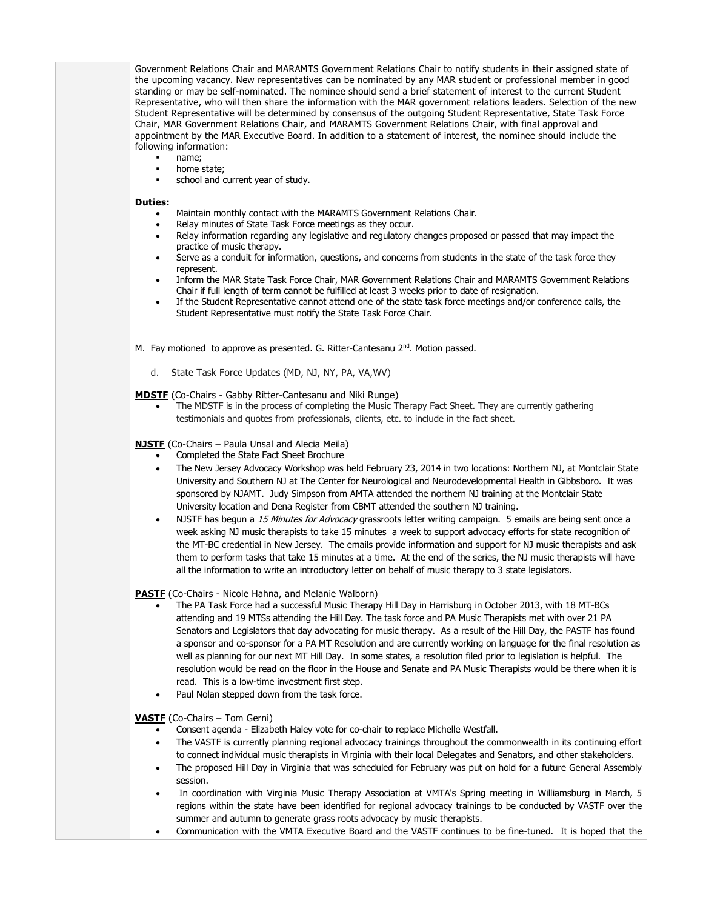Government Relations Chair and MARAMTS Government Relations Chair to notify students in their assigned state of the upcoming vacancy. New representatives can be nominated by any MAR student or professional member in good standing or may be self-nominated. The nominee should send a brief statement of interest to the current Student Representative, who will then share the information with the MAR government relations leaders. Selection of the new Student Representative will be determined by consensus of the outgoing Student Representative, State Task Force Chair, MAR Government Relations Chair, and MARAMTS Government Relations Chair, with final approval and appointment by the MAR Executive Board. In addition to a statement of interest, the nominee should include the following information:

- name;
- home state;
- school and current year of study.

#### **Duties:**

- Maintain monthly contact with the MARAMTS Government Relations Chair.
- Relay minutes of State Task Force meetings as they occur.
- Relay information regarding any legislative and regulatory changes proposed or passed that may impact the practice of music therapy.
- Serve as a conduit for information, questions, and concerns from students in the state of the task force they represent.
- Inform the MAR State Task Force Chair, MAR Government Relations Chair and MARAMTS Government Relations Chair if full length of term cannot be fulfilled at least 3 weeks prior to date of resignation.
- If the Student Representative cannot attend one of the state task force meetings and/or conference calls, the Student Representative must notify the State Task Force Chair.
- M. Fay motioned to approve as presented. G. Ritter-Cantesanu 2<sup>nd</sup>. Motion passed.
	- d. State Task Force Updates (MD, NJ, NY, PA, VA,WV)
- **MDSTF** (Co-Chairs Gabby Ritter-Cantesanu and Niki Runge)
	- The MDSTF is in the process of completing the Music Therapy Fact Sheet. They are currently gathering testimonials and quotes from professionals, clients, etc. to include in the fact sheet.

### **NJSTF** (Co-Chairs – Paula Unsal and Alecia Meila)

- Completed the State Fact Sheet Brochure
- The New Jersey Advocacy Workshop was held February 23, 2014 in two locations: Northern NJ, at Montclair State University and Southern NJ at The Center for Neurological and Neurodevelopmental Health in Gibbsboro. It was sponsored by NJAMT. Judy Simpson from AMTA attended the northern NJ training at the Montclair State University location and Dena Register from CBMT attended the southern NJ training.
- NJSTF has begun a 15 Minutes for Advocacy grassroots letter writing campaign. 5 emails are being sent once a week asking NJ music therapists to take 15 minutes a week to support advocacy efforts for state recognition of the MT-BC credential in New Jersey. The emails provide information and support for NJ music therapists and ask them to perform tasks that take 15 minutes at a time. At the end of the series, the NJ music therapists will have all the information to write an introductory letter on behalf of music therapy to 3 state legislators.

### **PASTF** (Co-Chairs - Nicole Hahna, and Melanie Walborn)

- The PA Task Force had a successful Music Therapy Hill Day in Harrisburg in October 2013, with 18 MT-BCs attending and 19 MTSs attending the Hill Day. The task force and PA Music Therapists met with over 21 PA Senators and Legislators that day advocating for music therapy. As a result of the Hill Day, the PASTF has found a sponsor and co-sponsor for a PA MT Resolution and are currently working on language for the final resolution as well as planning for our next MT Hill Day. In some states, a resolution filed prior to legislation is helpful. The resolution would be read on the floor in the House and Senate and PA Music Therapists would be there when it is read. This is a low-time investment first step.
- Paul Nolan stepped down from the task force.

### **VASTF** (Co-Chairs – Tom Gerni)

- Consent agenda Elizabeth Haley vote for co-chair to replace Michelle Westfall.
- The VASTF is currently planning regional advocacy trainings throughout the commonwealth in its continuing effort to connect individual music therapists in Virginia with their local Delegates and Senators, and other stakeholders.
- The proposed Hill Day in Virginia that was scheduled for February was put on hold for a future General Assembly session.
- In coordination with Virginia Music Therapy Association at VMTA's Spring meeting in Williamsburg in March, 5 regions within the state have been identified for regional advocacy trainings to be conducted by VASTF over the summer and autumn to generate grass roots advocacy by music therapists.
- Communication with the VMTA Executive Board and the VASTF continues to be fine-tuned. It is hoped that the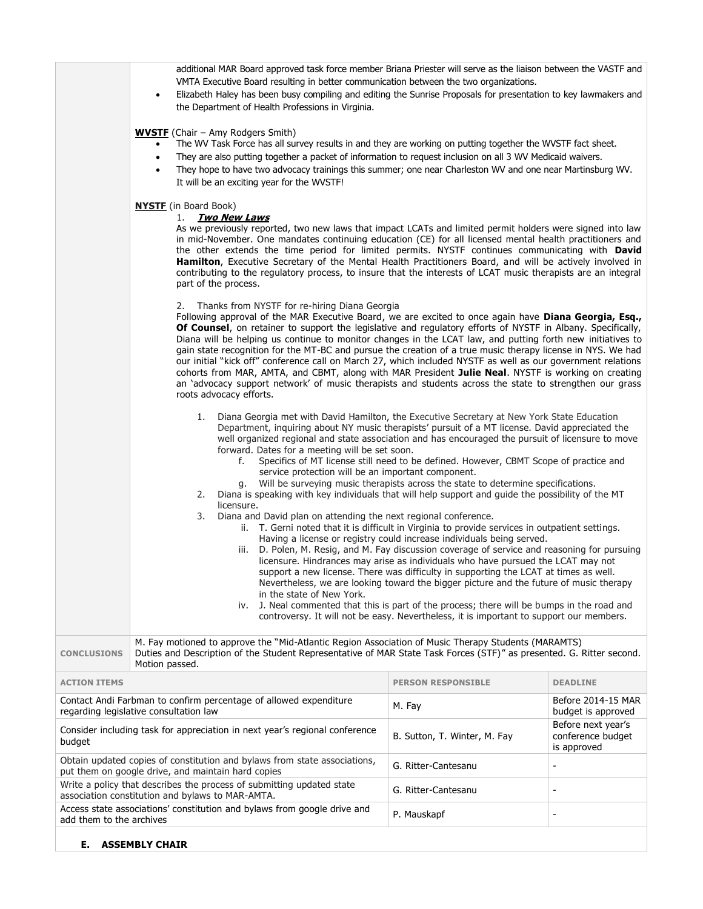|                                                                                                                                 | additional MAR Board approved task force member Briana Priester will serve as the liaison between the VASTF and<br>VMTA Executive Board resulting in better communication between the two organizations.<br>Elizabeth Haley has been busy compiling and editing the Sunrise Proposals for presentation to key lawmakers and<br>the Department of Health Professions in Virginia.<br><b>WVSTF</b> (Chair – Amy Rodgers Smith)<br>The WV Task Force has all survey results in and they are working on putting together the WVSTF fact sheet.<br>They are also putting together a packet of information to request inclusion on all 3 WV Medicaid waivers.<br>They hope to have two advocacy trainings this summer; one near Charleston WV and one near Martinsburg WV.<br>It will be an exciting year for the WVSTF!                                                                                                                                                                                                                        |                              |                                                        |  |
|---------------------------------------------------------------------------------------------------------------------------------|-------------------------------------------------------------------------------------------------------------------------------------------------------------------------------------------------------------------------------------------------------------------------------------------------------------------------------------------------------------------------------------------------------------------------------------------------------------------------------------------------------------------------------------------------------------------------------------------------------------------------------------------------------------------------------------------------------------------------------------------------------------------------------------------------------------------------------------------------------------------------------------------------------------------------------------------------------------------------------------------------------------------------------------------|------------------------------|--------------------------------------------------------|--|
|                                                                                                                                 | <b>NYSTE</b> (in Board Book)<br>1. <b>Two New Laws</b><br>As we previously reported, two new laws that impact LCATs and limited permit holders were signed into law<br>in mid-November. One mandates continuing education (CE) for all licensed mental health practitioners and<br>the other extends the time period for limited permits. NYSTF continues communicating with David<br>Hamilton, Executive Secretary of the Mental Health Practitioners Board, and will be actively involved in<br>contributing to the regulatory process, to insure that the interests of LCAT music therapists are an integral<br>part of the process.<br>2. Thanks from NYSTF for re-hiring Diana Georgia<br>Following approval of the MAR Executive Board, we are excited to once again have Diana Georgia, Esq.,<br><b>Of Counsel</b> , on retainer to support the legislative and regulatory efforts of NYSTF in Albany. Specifically,<br>Diana will be helping us continue to monitor changes in the LCAT law, and putting forth new initiatives to |                              |                                                        |  |
|                                                                                                                                 | gain state recognition for the MT-BC and pursue the creation of a true music therapy license in NYS. We had<br>our initial "kick off" conference call on March 27, which included NYSTF as well as our government relations<br>cohorts from MAR, AMTA, and CBMT, along with MAR President Julie Neal. NYSTF is working on creating<br>an 'advocacy support network' of music therapists and students across the state to strengthen our grass<br>roots advocacy efforts.                                                                                                                                                                                                                                                                                                                                                                                                                                                                                                                                                                  |                              |                                                        |  |
|                                                                                                                                 | Diana Georgia met with David Hamilton, the Executive Secretary at New York State Education<br>1.<br>Department, inquiring about NY music therapists' pursuit of a MT license. David appreciated the<br>well organized regional and state association and has encouraged the pursuit of licensure to move<br>forward. Dates for a meeting will be set soon.<br>Specifics of MT license still need to be defined. However, CBMT Scope of practice and<br>f.<br>service protection will be an important component.<br>Will be surveying music therapists across the state to determine specifications.<br>Diana is speaking with key individuals that will help support and guide the possibility of the MT<br>2.                                                                                                                                                                                                                                                                                                                            |                              |                                                        |  |
|                                                                                                                                 | licensure.<br>Diana and David plan on attending the next regional conference.<br>3.<br>ii. T. Gerni noted that it is difficult in Virginia to provide services in outpatient settings.<br>Having a license or registry could increase individuals being served.<br>D. Polen, M. Resig, and M. Fay discussion coverage of service and reasoning for pursuing<br>iii.<br>licensure. Hindrances may arise as individuals who have pursued the LCAT may not<br>support a new license. There was difficulty in supporting the LCAT at times as well.<br>Nevertheless, we are looking toward the bigger picture and the future of music therapy<br>in the state of New York.<br>J. Neal commented that this is part of the process; there will be bumps in the road and<br>iv.<br>controversy. It will not be easy. Nevertheless, it is important to support our members.                                                                                                                                                                       |                              |                                                        |  |
| <b>CONCLUSIONS</b>                                                                                                              | M. Fay motioned to approve the "Mid-Atlantic Region Association of Music Therapy Students (MARAMTS)<br>Duties and Description of the Student Representative of MAR State Task Forces (STF)" as presented. G. Ritter second.<br>Motion passed.                                                                                                                                                                                                                                                                                                                                                                                                                                                                                                                                                                                                                                                                                                                                                                                             |                              |                                                        |  |
| <b>ACTION ITEMS</b>                                                                                                             |                                                                                                                                                                                                                                                                                                                                                                                                                                                                                                                                                                                                                                                                                                                                                                                                                                                                                                                                                                                                                                           | <b>PERSON RESPONSIBLE</b>    | <b>DEADLINE</b>                                        |  |
| Contact Andi Farbman to confirm percentage of allowed expenditure<br>regarding legislative consultation law                     |                                                                                                                                                                                                                                                                                                                                                                                                                                                                                                                                                                                                                                                                                                                                                                                                                                                                                                                                                                                                                                           | M. Fay                       | Before 2014-15 MAR<br>budget is approved               |  |
| Consider including task for appreciation in next year's regional conference<br>budget                                           |                                                                                                                                                                                                                                                                                                                                                                                                                                                                                                                                                                                                                                                                                                                                                                                                                                                                                                                                                                                                                                           | B. Sutton, T. Winter, M. Fay | Before next year's<br>conference budget<br>is approved |  |
| Obtain updated copies of constitution and bylaws from state associations,<br>put them on google drive, and maintain hard copies |                                                                                                                                                                                                                                                                                                                                                                                                                                                                                                                                                                                                                                                                                                                                                                                                                                                                                                                                                                                                                                           | G. Ritter-Cantesanu          | $\overline{\phantom{a}}$                               |  |
|                                                                                                                                 | Write a policy that describes the process of submitting updated state<br>association constitution and bylaws to MAR-AMTA.                                                                                                                                                                                                                                                                                                                                                                                                                                                                                                                                                                                                                                                                                                                                                                                                                                                                                                                 | G. Ritter-Cantesanu          | $\overline{\phantom{a}}$                               |  |
| add them to the archives                                                                                                        | Access state associations' constitution and bylaws from google drive and                                                                                                                                                                                                                                                                                                                                                                                                                                                                                                                                                                                                                                                                                                                                                                                                                                                                                                                                                                  | P. Mauskapf                  | $\overline{\phantom{a}}$                               |  |
| Е.<br><b>ASSEMBLY CHAIR</b>                                                                                                     |                                                                                                                                                                                                                                                                                                                                                                                                                                                                                                                                                                                                                                                                                                                                                                                                                                                                                                                                                                                                                                           |                              |                                                        |  |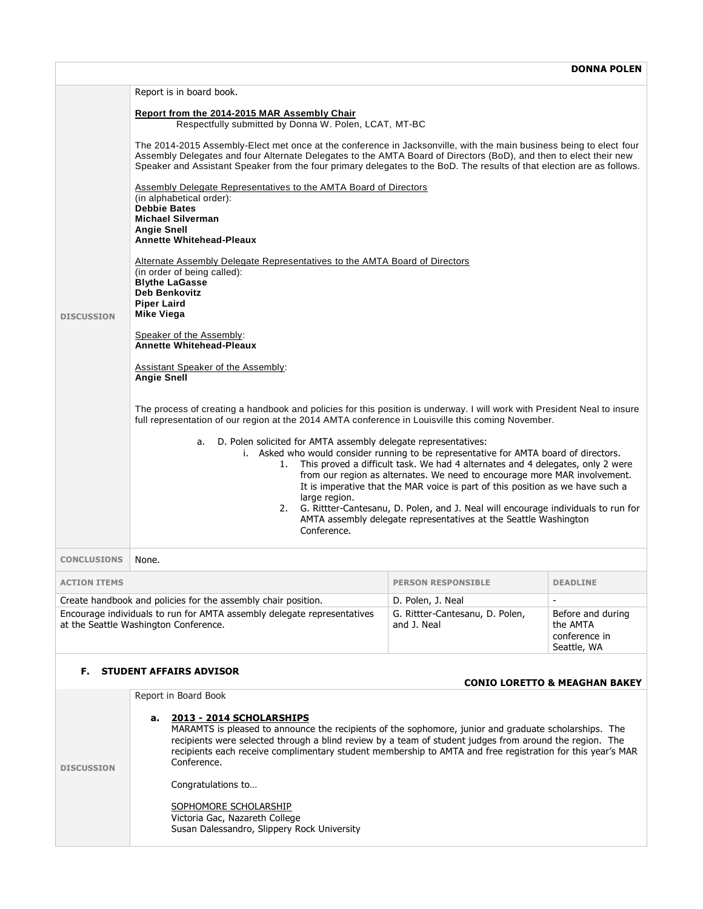|                                                                                                                                                                                                                                     | Report is in board book.                                                                                                                                                                                                                                                                                                                                                                                                                                                                                                                                                                                      |                           |                 |  |  |
|-------------------------------------------------------------------------------------------------------------------------------------------------------------------------------------------------------------------------------------|---------------------------------------------------------------------------------------------------------------------------------------------------------------------------------------------------------------------------------------------------------------------------------------------------------------------------------------------------------------------------------------------------------------------------------------------------------------------------------------------------------------------------------------------------------------------------------------------------------------|---------------------------|-----------------|--|--|
|                                                                                                                                                                                                                                     | Report from the 2014-2015 MAR Assembly Chair<br>Respectfully submitted by Donna W. Polen, LCAT, MT-BC                                                                                                                                                                                                                                                                                                                                                                                                                                                                                                         |                           |                 |  |  |
|                                                                                                                                                                                                                                     | The 2014-2015 Assembly-Elect met once at the conference in Jacksonville, with the main business being to elect four<br>Assembly Delegates and four Alternate Delegates to the AMTA Board of Directors (BoD), and then to elect their new<br>Speaker and Assistant Speaker from the four primary delegates to the BoD. The results of that election are as follows.                                                                                                                                                                                                                                            |                           |                 |  |  |
|                                                                                                                                                                                                                                     | Assembly Delegate Representatives to the AMTA Board of Directors<br>(in alphabetical order):<br><b>Debbie Bates</b><br><b>Michael Silverman</b><br><b>Angie Snell</b><br><b>Annette Whitehead-Pleaux</b>                                                                                                                                                                                                                                                                                                                                                                                                      |                           |                 |  |  |
|                                                                                                                                                                                                                                     | Alternate Assembly Delegate Representatives to the AMTA Board of Directors<br>(in order of being called):<br><b>Blythe LaGasse</b><br>Deb Benkovitz<br><b>Piper Laird</b>                                                                                                                                                                                                                                                                                                                                                                                                                                     |                           |                 |  |  |
| <b>DISCUSSION</b>                                                                                                                                                                                                                   | <b>Mike Viega</b><br>Speaker of the Assembly:<br><b>Annette Whitehead-Pleaux</b>                                                                                                                                                                                                                                                                                                                                                                                                                                                                                                                              |                           |                 |  |  |
|                                                                                                                                                                                                                                     | <b>Assistant Speaker of the Assembly:</b><br><b>Angie Snell</b>                                                                                                                                                                                                                                                                                                                                                                                                                                                                                                                                               |                           |                 |  |  |
|                                                                                                                                                                                                                                     | The process of creating a handbook and policies for this position is underway. I will work with President Neal to insure<br>full representation of our region at the 2014 AMTA conference in Louisville this coming November.                                                                                                                                                                                                                                                                                                                                                                                 |                           |                 |  |  |
|                                                                                                                                                                                                                                     | D. Polen solicited for AMTA assembly delegate representatives:<br>а.<br>i. Asked who would consider running to be representative for AMTA board of directors.<br>1. This proved a difficult task. We had 4 alternates and 4 delegates, only 2 were<br>from our region as alternates. We need to encourage more MAR involvement.<br>It is imperative that the MAR voice is part of this position as we have such a<br>large region.<br>2. G. Rittter-Cantesanu, D. Polen, and J. Neal will encourage individuals to run for<br>AMTA assembly delegate representatives at the Seattle Washington<br>Conference. |                           |                 |  |  |
| <b>CONCLUSIONS</b>                                                                                                                                                                                                                  | None.                                                                                                                                                                                                                                                                                                                                                                                                                                                                                                                                                                                                         |                           |                 |  |  |
| <b>ACTION ITEMS</b>                                                                                                                                                                                                                 |                                                                                                                                                                                                                                                                                                                                                                                                                                                                                                                                                                                                               | <b>PERSON RESPONSIBLE</b> | <b>DEADLINE</b> |  |  |
|                                                                                                                                                                                                                                     | Create handbook and policies for the assembly chair position.                                                                                                                                                                                                                                                                                                                                                                                                                                                                                                                                                 | D. Polen, J. Neal         | $\blacksquare$  |  |  |
| Encourage individuals to run for AMTA assembly delegate representatives<br>G. Rittter-Cantesanu, D. Polen,<br>Before and during<br>at the Seattle Washington Conference.<br>and J. Neal<br>the AMTA<br>conference in<br>Seattle, WA |                                                                                                                                                                                                                                                                                                                                                                                                                                                                                                                                                                                                               |                           |                 |  |  |
| <b>F. STUDENT AFFAIRS ADVISOR</b>                                                                                                                                                                                                   |                                                                                                                                                                                                                                                                                                                                                                                                                                                                                                                                                                                                               |                           |                 |  |  |
| <b>CONIO LORETTO &amp; MEAGHAN BAKEY</b><br>Report in Board Book                                                                                                                                                                    |                                                                                                                                                                                                                                                                                                                                                                                                                                                                                                                                                                                                               |                           |                 |  |  |
| <b>DISCUSSION</b>                                                                                                                                                                                                                   | 2013 - 2014 SCHOLARSHIPS<br>а.<br>MARAMTS is pleased to announce the recipients of the sophomore, junior and graduate scholarships. The<br>recipients were selected through a blind review by a team of student judges from around the region. The<br>recipients each receive complimentary student membership to AMTA and free registration for this year's MAR<br>Conference.                                                                                                                                                                                                                               |                           |                 |  |  |
|                                                                                                                                                                                                                                     | Congratulations to                                                                                                                                                                                                                                                                                                                                                                                                                                                                                                                                                                                            |                           |                 |  |  |
|                                                                                                                                                                                                                                     | SOPHOMORE SCHOLARSHIP<br>Victoria Gac, Nazareth College<br>Susan Dalessandro, Slippery Rock University                                                                                                                                                                                                                                                                                                                                                                                                                                                                                                        |                           |                 |  |  |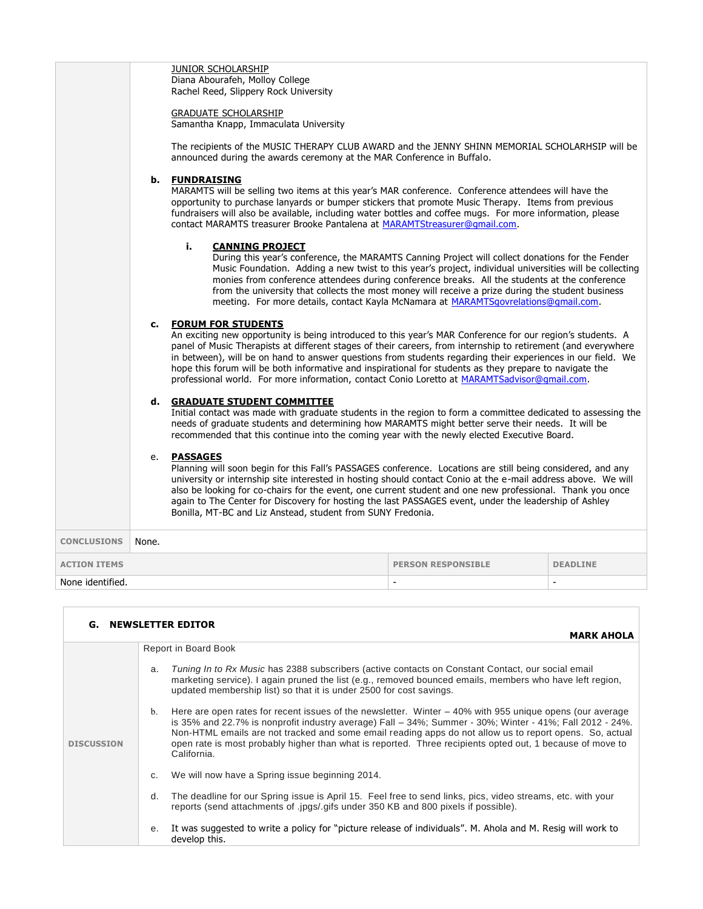|                     | b.    | <b>JUNIOR SCHOLARSHIP</b><br>Diana Abourafeh, Molloy College<br>Rachel Reed, Slippery Rock University<br><b>GRADUATE SCHOLARSHIP</b><br>Samantha Knapp, Immaculata University<br>The recipients of the MUSIC THERAPY CLUB AWARD and the JENNY SHINN MEMORIAL SCHOLARHSIP will be<br>announced during the awards ceremony at the MAR Conference in Buffalo.<br><b>FUNDRAISING</b>                                                                                                                                                                                                   |                           |                 |
|---------------------|-------|------------------------------------------------------------------------------------------------------------------------------------------------------------------------------------------------------------------------------------------------------------------------------------------------------------------------------------------------------------------------------------------------------------------------------------------------------------------------------------------------------------------------------------------------------------------------------------|---------------------------|-----------------|
|                     |       | MARAMTS will be selling two items at this year's MAR conference. Conference attendees will have the<br>opportunity to purchase lanyards or bumper stickers that promote Music Therapy. Items from previous<br>fundraisers will also be available, including water bottles and coffee mugs. For more information, please<br>contact MARAMTS treasurer Brooke Pantalena at MARAMTStreasurer@gmail.com.                                                                                                                                                                               |                           |                 |
|                     |       | i.<br><b>CANNING PROJECT</b><br>During this year's conference, the MARAMTS Canning Project will collect donations for the Fender<br>Music Foundation. Adding a new twist to this year's project, individual universities will be collecting<br>monies from conference attendees during conference breaks. All the students at the conference<br>from the university that collects the most money will receive a prize during the student business<br>meeting. For more details, contact Kayla McNamara at MARAMTSgovrelations@gmail.com.                                           |                           |                 |
|                     | c.    | <b>FORUM FOR STUDENTS</b><br>An exciting new opportunity is being introduced to this year's MAR Conference for our region's students. A<br>panel of Music Therapists at different stages of their careers, from internship to retirement (and everywhere<br>in between), will be on hand to answer questions from students regarding their experiences in our field. We<br>hope this forum will be both informative and inspirational for students as they prepare to navigate the<br>professional world. For more information, contact Conio Loretto at MARAMTSadvisor@gmail.com. |                           |                 |
|                     | d.    | <b>GRADUATE STUDENT COMMITTEE</b><br>Initial contact was made with graduate students in the region to form a committee dedicated to assessing the<br>needs of graduate students and determining how MARAMTS might better serve their needs. It will be<br>recommended that this continue into the coming year with the newly elected Executive Board.                                                                                                                                                                                                                              |                           |                 |
|                     | e.    | <b>PASSAGES</b><br>Planning will soon begin for this Fall's PASSAGES conference. Locations are still being considered, and any<br>university or internship site interested in hosting should contact Conio at the e-mail address above. We will<br>also be looking for co-chairs for the event, one current student and one new professional. Thank you once<br>again to The Center for Discovery for hosting the last PASSAGES event, under the leadership of Ashley<br>Bonilla, MT-BC and Liz Anstead, student from SUNY Fredonia.                                               |                           |                 |
| <b>CONCLUSIONS</b>  | None. |                                                                                                                                                                                                                                                                                                                                                                                                                                                                                                                                                                                    |                           |                 |
| <b>ACTION ITEMS</b> |       |                                                                                                                                                                                                                                                                                                                                                                                                                                                                                                                                                                                    | <b>PERSON RESPONSIBLE</b> | <b>DEADLINE</b> |
| None identified.    |       |                                                                                                                                                                                                                                                                                                                                                                                                                                                                                                                                                                                    | $\sim$                    | $\blacksquare$  |

|                   | <b>G. NEWSLETTER EDITOR</b>                                                                                                                                                                                                                                                                                                                                                                                                                                                   |
|-------------------|-------------------------------------------------------------------------------------------------------------------------------------------------------------------------------------------------------------------------------------------------------------------------------------------------------------------------------------------------------------------------------------------------------------------------------------------------------------------------------|
|                   | <b>MARK AHOLA</b>                                                                                                                                                                                                                                                                                                                                                                                                                                                             |
|                   | Report in Board Book                                                                                                                                                                                                                                                                                                                                                                                                                                                          |
| <b>DISCUSSION</b> | Tuning In to Rx Music has 2388 subscribers (active contacts on Constant Contact, our social email<br>a.<br>marketing service). I again pruned the list (e.g., removed bounced emails, members who have left region,<br>updated membership list) so that it is under 2500 for cost savings.                                                                                                                                                                                    |
|                   | Here are open rates for recent issues of the newsletter. Winter – 40% with 955 unique opens (our average<br>$\mathbf{b}$ .<br>is 35% and 22.7% is nonprofit industry average) Fall - 34%; Summer - 30%; Winter - 41%; Fall 2012 - 24%.<br>Non-HTML emails are not tracked and some email reading apps do not allow us to report opens. So, actual<br>open rate is most probably higher than what is reported. Three recipients opted out, 1 because of move to<br>California. |
|                   | We will now have a Spring issue beginning 2014.<br>C.                                                                                                                                                                                                                                                                                                                                                                                                                         |
|                   | The deadline for our Spring issue is April 15. Feel free to send links, pics, video streams, etc. with your<br>d.<br>reports (send attachments of .jpgs/.gifs under 350 KB and 800 pixels if possible).                                                                                                                                                                                                                                                                       |
|                   | It was suggested to write a policy for "picture release of individuals". M. Ahola and M. Resig will work to<br>е.<br>develop this.                                                                                                                                                                                                                                                                                                                                            |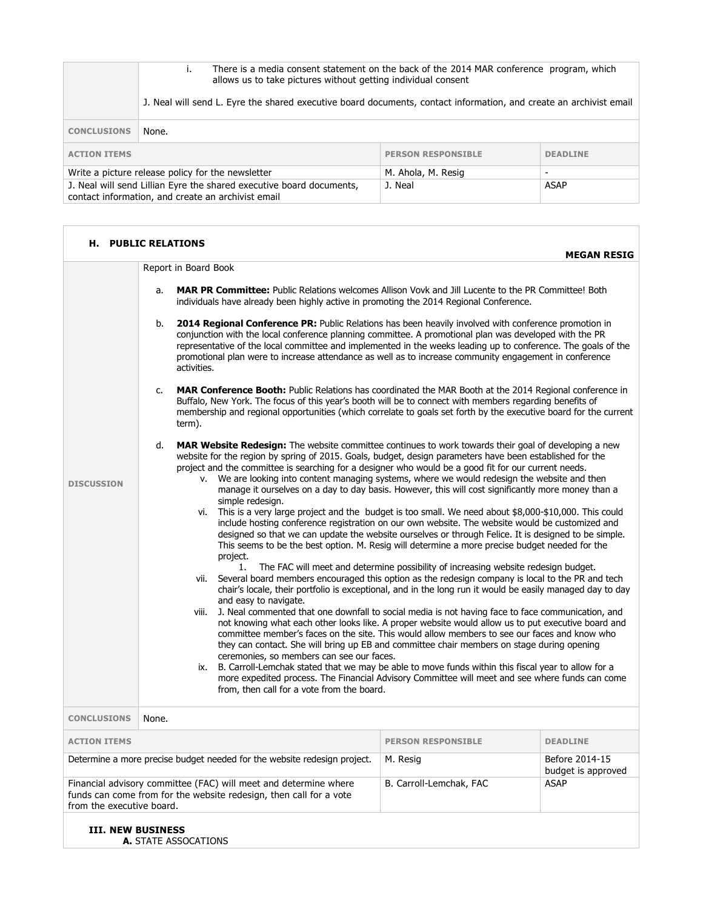|                                                                                                                            | There is a media consent statement on the back of the 2014 MAR conference program, which<br>i.<br>allows us to take pictures without getting individual consent |                           |                 |
|----------------------------------------------------------------------------------------------------------------------------|-----------------------------------------------------------------------------------------------------------------------------------------------------------------|---------------------------|-----------------|
|                                                                                                                            | J. Neal will send L. Eyre the shared executive board documents, contact information, and create an archivist email                                              |                           |                 |
| <b>CONCLUSIONS</b>                                                                                                         | None.                                                                                                                                                           |                           |                 |
| <b>ACTION ITEMS</b>                                                                                                        |                                                                                                                                                                 | <b>PERSON RESPONSIBLE</b> | <b>DEADLINE</b> |
| Write a picture release policy for the newsletter                                                                          |                                                                                                                                                                 | M. Ahola, M. Resig        |                 |
| J. Neal will send Lillian Eyre the shared executive board documents,<br>contact information, and create an archivist email |                                                                                                                                                                 | J. Neal                   | <b>ASAP</b>     |

| <b>H. PUBLIC RELATIONS</b><br><b>MEGAN RESIG</b>                                                                                                                                                              |                                                                                                                                                                                                                                                                                                                                                                                                                                                                                                                                                                                                                                                                                                                                                                                                                                                                                                                                                                                                                                                                                                                                                                                                                                                                                                                                                                                                                                                                                                                                                                                                                                                                                                                                                                          |                           |                                      |  |
|---------------------------------------------------------------------------------------------------------------------------------------------------------------------------------------------------------------|--------------------------------------------------------------------------------------------------------------------------------------------------------------------------------------------------------------------------------------------------------------------------------------------------------------------------------------------------------------------------------------------------------------------------------------------------------------------------------------------------------------------------------------------------------------------------------------------------------------------------------------------------------------------------------------------------------------------------------------------------------------------------------------------------------------------------------------------------------------------------------------------------------------------------------------------------------------------------------------------------------------------------------------------------------------------------------------------------------------------------------------------------------------------------------------------------------------------------------------------------------------------------------------------------------------------------------------------------------------------------------------------------------------------------------------------------------------------------------------------------------------------------------------------------------------------------------------------------------------------------------------------------------------------------------------------------------------------------------------------------------------------------|---------------------------|--------------------------------------|--|
|                                                                                                                                                                                                               | Report in Board Book                                                                                                                                                                                                                                                                                                                                                                                                                                                                                                                                                                                                                                                                                                                                                                                                                                                                                                                                                                                                                                                                                                                                                                                                                                                                                                                                                                                                                                                                                                                                                                                                                                                                                                                                                     |                           |                                      |  |
| <b>DISCUSSION</b>                                                                                                                                                                                             | MAR PR Committee: Public Relations welcomes Allison Vovk and Jill Lucente to the PR Committee! Both<br>a.<br>individuals have already been highly active in promoting the 2014 Regional Conference.                                                                                                                                                                                                                                                                                                                                                                                                                                                                                                                                                                                                                                                                                                                                                                                                                                                                                                                                                                                                                                                                                                                                                                                                                                                                                                                                                                                                                                                                                                                                                                      |                           |                                      |  |
|                                                                                                                                                                                                               | 2014 Regional Conference PR: Public Relations has been heavily involved with conference promotion in<br>b.<br>conjunction with the local conference planning committee. A promotional plan was developed with the PR<br>representative of the local committee and implemented in the weeks leading up to conference. The goals of the<br>promotional plan were to increase attendance as well as to increase community engagement in conference<br>activities.                                                                                                                                                                                                                                                                                                                                                                                                                                                                                                                                                                                                                                                                                                                                                                                                                                                                                                                                                                                                                                                                                                                                                                                                                                                                                                           |                           |                                      |  |
|                                                                                                                                                                                                               | <b>MAR Conference Booth:</b> Public Relations has coordinated the MAR Booth at the 2014 Regional conference in<br>c.<br>Buffalo, New York. The focus of this year's booth will be to connect with members regarding benefits of<br>membership and regional opportunities (which correlate to goals set forth by the executive board for the current<br>term).                                                                                                                                                                                                                                                                                                                                                                                                                                                                                                                                                                                                                                                                                                                                                                                                                                                                                                                                                                                                                                                                                                                                                                                                                                                                                                                                                                                                            |                           |                                      |  |
|                                                                                                                                                                                                               | d.<br><b>MAR Website Redesign:</b> The website committee continues to work towards their goal of developing a new<br>website for the region by spring of 2015. Goals, budget, design parameters have been established for the<br>project and the committee is searching for a designer who would be a good fit for our current needs.<br>v. We are looking into content managing systems, where we would redesign the website and then<br>manage it ourselves on a day to day basis. However, this will cost significantly more money than a<br>simple redesign.<br>This is a very large project and the budget is too small. We need about \$8,000-\$10,000. This could<br>vi.<br>include hosting conference registration on our own website. The website would be customized and<br>designed so that we can update the website ourselves or through Felice. It is designed to be simple.<br>This seems to be the best option. M. Resig will determine a more precise budget needed for the<br>project.<br>The FAC will meet and determine possibility of increasing website redesign budget.<br>1.<br>Several board members encouraged this option as the redesign company is local to the PR and tech<br>vii.<br>chair's locale, their portfolio is exceptional, and in the long run it would be easily managed day to day<br>and easy to navigate.<br>J. Neal commented that one downfall to social media is not having face to face communication, and<br>viii.<br>not knowing what each other looks like. A proper website would allow us to put executive board and<br>committee member's faces on the site. This would allow members to see our faces and know who<br>they can contact. She will bring up EB and committee chair members on stage during opening |                           |                                      |  |
|                                                                                                                                                                                                               | ceremonies, so members can see our faces.<br>B. Carroll-Lemchak stated that we may be able to move funds within this fiscal year to allow for a<br>ix.<br>more expedited process. The Financial Advisory Committee will meet and see where funds can come<br>from, then call for a vote from the board.                                                                                                                                                                                                                                                                                                                                                                                                                                                                                                                                                                                                                                                                                                                                                                                                                                                                                                                                                                                                                                                                                                                                                                                                                                                                                                                                                                                                                                                                  |                           |                                      |  |
| <b>CONCLUSIONS</b>                                                                                                                                                                                            | None.                                                                                                                                                                                                                                                                                                                                                                                                                                                                                                                                                                                                                                                                                                                                                                                                                                                                                                                                                                                                                                                                                                                                                                                                                                                                                                                                                                                                                                                                                                                                                                                                                                                                                                                                                                    |                           |                                      |  |
| <b>ACTION ITEMS</b>                                                                                                                                                                                           |                                                                                                                                                                                                                                                                                                                                                                                                                                                                                                                                                                                                                                                                                                                                                                                                                                                                                                                                                                                                                                                                                                                                                                                                                                                                                                                                                                                                                                                                                                                                                                                                                                                                                                                                                                          | <b>PERSON RESPONSIBLE</b> | <b>DEADLINE</b>                      |  |
| Determine a more precise budget needed for the website redesign project.                                                                                                                                      |                                                                                                                                                                                                                                                                                                                                                                                                                                                                                                                                                                                                                                                                                                                                                                                                                                                                                                                                                                                                                                                                                                                                                                                                                                                                                                                                                                                                                                                                                                                                                                                                                                                                                                                                                                          | M. Resig                  | Before 2014-15<br>budget is approved |  |
| Financial advisory committee (FAC) will meet and determine where<br>B. Carroll-Lemchak, FAC<br><b>ASAP</b><br>funds can come from for the website redesign, then call for a vote<br>from the executive board. |                                                                                                                                                                                                                                                                                                                                                                                                                                                                                                                                                                                                                                                                                                                                                                                                                                                                                                                                                                                                                                                                                                                                                                                                                                                                                                                                                                                                                                                                                                                                                                                                                                                                                                                                                                          |                           |                                      |  |
| <b>III. NEW BUSINESS</b><br>A. STATE ASSOCATIONS                                                                                                                                                              |                                                                                                                                                                                                                                                                                                                                                                                                                                                                                                                                                                                                                                                                                                                                                                                                                                                                                                                                                                                                                                                                                                                                                                                                                                                                                                                                                                                                                                                                                                                                                                                                                                                                                                                                                                          |                           |                                      |  |